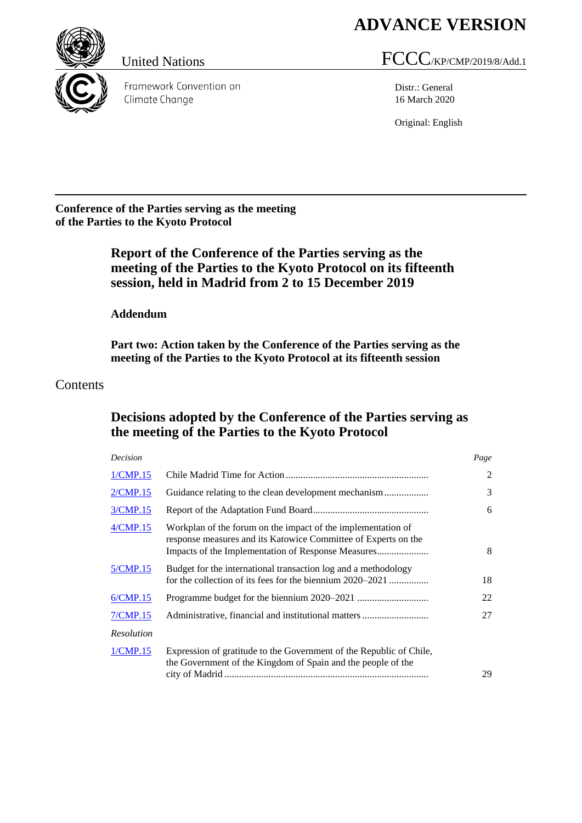# **ADVANCE VERSION**



Framework Convention on Climate Change

# United Nations FCCC/KP/CMP/2019/8/Add.1

Distr.: General 16 March 2020

Original: English

**Conference of the Parties serving as the meeting of the Parties to the Kyoto Protocol**

# **Report of the Conference of the Parties serving as the meeting of the Parties to the Kyoto Protocol on its fifteenth session, held in Madrid from 2 to 15 December 2019**

**Addendum**

**Part two: Action taken by the Conference of the Parties serving as the meeting of the Parties to the Kyoto Protocol at its fifteenth session**

# Contents

# **Decisions adopted by the Conference of the Parties serving as the meeting of the Parties to the Kyoto Protocol**

| Decision          |                                                                                                                                     | Page |
|-------------------|-------------------------------------------------------------------------------------------------------------------------------------|------|
| 1/CMP.15          |                                                                                                                                     | 2    |
| 2/CMP.15          |                                                                                                                                     | 3    |
| 3/CMP.15          |                                                                                                                                     | 6    |
| 4/CMP.15          | Workplan of the forum on the impact of the implementation of<br>response measures and its Katowice Committee of Experts on the      | 8    |
| 5/CMP.15          | Budget for the international transaction log and a methodology<br>for the collection of its fees for the biennium 2020–2021         | 18   |
| 6/CMP.15          |                                                                                                                                     | 22   |
| 7/CMP.15          | Administrative, financial and institutional matters                                                                                 | 27   |
| <b>Resolution</b> |                                                                                                                                     |      |
| 1/CMP.15          | Expression of gratitude to the Government of the Republic of Chile,<br>the Government of the Kingdom of Spain and the people of the | 29   |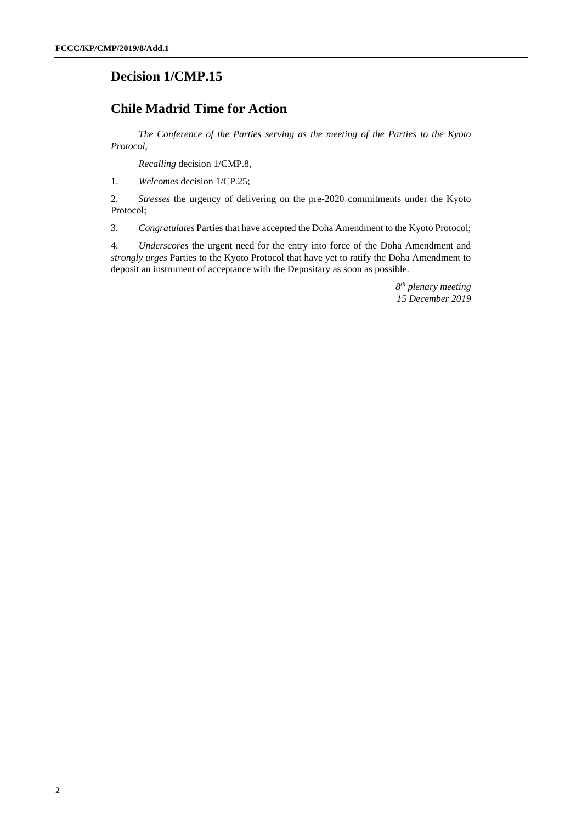# <span id="page-1-0"></span>**Decision 1/CMP.15**

# **Chile Madrid Time for Action**

*The Conference of the Parties serving as the meeting of the Parties to the Kyoto Protocol*,

*Recalling* decision 1/CMP.8,

1. *Welcomes* decision 1/CP.25;

2. *Stresses* the urgency of delivering on the pre-2020 commitments under the Kyoto Protocol;

3. *Congratulates* Parties that have accepted the Doha Amendment to the Kyoto Protocol;

4. *Underscores* the urgent need for the entry into force of the Doha Amendment and *strongly urges* Parties to the Kyoto Protocol that have yet to ratify the Doha Amendment to deposit an instrument of acceptance with the Depositary as soon as possible.

> *8 th plenary meeting 15 December 2019*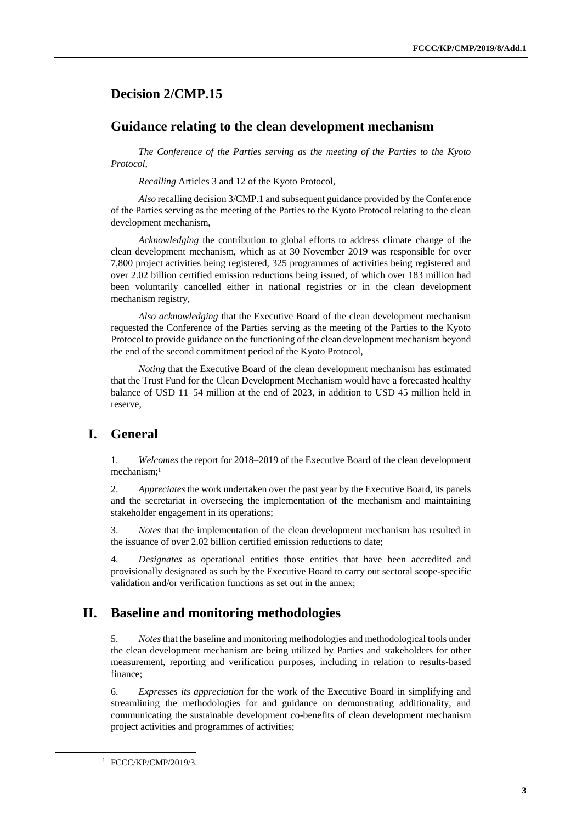# <span id="page-2-1"></span><span id="page-2-0"></span>**Decision 2/CMP.15**

#### **Guidance relating to the clean development mechanism**

*The Conference of the Parties serving as the meeting of the Parties to the Kyoto Protocol*,

*Recalling* Articles 3 and 12 of the Kyoto Protocol,

*Also* recalling decision 3/CMP.1 and subsequent guidance provided by the Conference of the Parties serving as the meeting of the Parties to the Kyoto Protocol relating to the clean development mechanism,

*Acknowledging* the contribution to global efforts to address climate change of the clean development mechanism, which as at 30 November 2019 was responsible for over 7,800 project activities being registered, 325 programmes of activities being registered and over 2.02 billion certified emission reductions being issued, of which over 183 million had been voluntarily cancelled either in national registries or in the clean development mechanism registry,

*Also acknowledging* that the Executive Board of the clean development mechanism requested the Conference of the Parties serving as the meeting of the Parties to the Kyoto Protocol to provide guidance on the functioning of the clean development mechanism beyond the end of the second commitment period of the Kyoto Protocol,

*Noting* that the Executive Board of the clean development mechanism has estimated that the Trust Fund for the Clean Development Mechanism would have a forecasted healthy balance of USD 11–54 million at the end of 2023, in addition to USD 45 million held in reserve,

# **I. General**

1. *Welcomes* the report for 2018–2019 of the Executive Board of the clean development mechanism;<sup>1</sup>

2. *Appreciates* the work undertaken over the past year by the Executive Board, its panels and the secretariat in overseeing the implementation of the mechanism and maintaining stakeholder engagement in its operations;

3. *Notes* that the implementation of the clean development mechanism has resulted in the issuance of over 2.02 billion certified emission reductions to date;

4. *Designates* as operational entities those entities that have been accredited and provisionally designated as such by the Executive Board to carry out sectoral scope-specific validation and/or verification functions as set out in the annex;

### **II. Baseline and monitoring methodologies**

5. *Notes* that the baseline and monitoring methodologies and methodological tools under the clean development mechanism are being utilized by Parties and stakeholders for other measurement, reporting and verification purposes, including in relation to results-based finance;

6. *Expresses its appreciation* for the work of the Executive Board in simplifying and streamlining the methodologies for and guidance on demonstrating additionality, and communicating the sustainable development co-benefits of clean development mechanism project activities and programmes of activities;

<sup>1</sup> FCCC/KP/CMP/2019/3.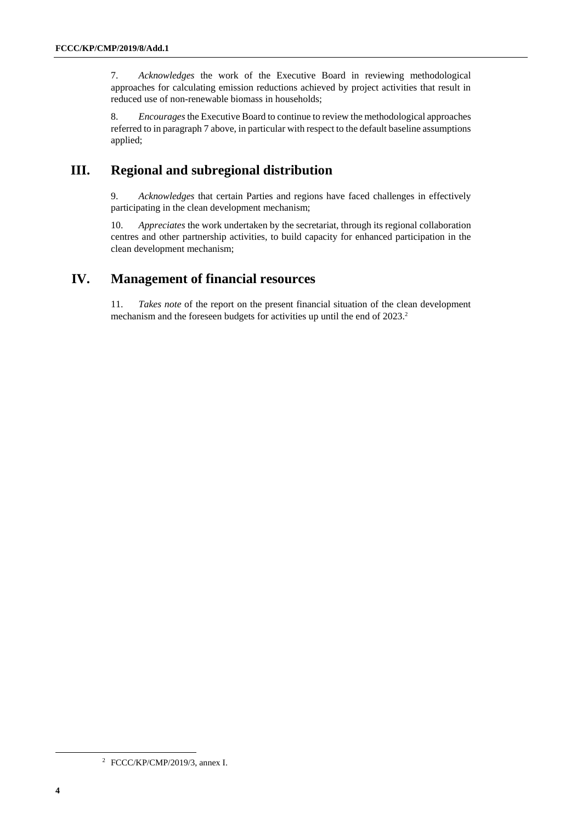7. *Acknowledges* the work of the Executive Board in reviewing methodological approaches for calculating emission reductions achieved by project activities that result in reduced use of non-renewable biomass in households;

8. *Encourages* the Executive Board to continue to review the methodological approaches referred to in paragrap[h 7 above,](#page-2-1) in particular with respect to the default baseline assumptions applied;

# **III. Regional and subregional distribution**

9. *Acknowledges* that certain Parties and regions have faced challenges in effectively participating in the clean development mechanism;

10. *Appreciates* the work undertaken by the secretariat, through its regional collaboration centres and other partnership activities, to build capacity for enhanced participation in the clean development mechanism;

# **IV. Management of financial resources**

11. *Takes note* of the report on the present financial situation of the clean development mechanism and the foreseen budgets for activities up until the end of 2023.<sup>2</sup>

<sup>2</sup> FCCC/KP/CMP/2019/3, annex I.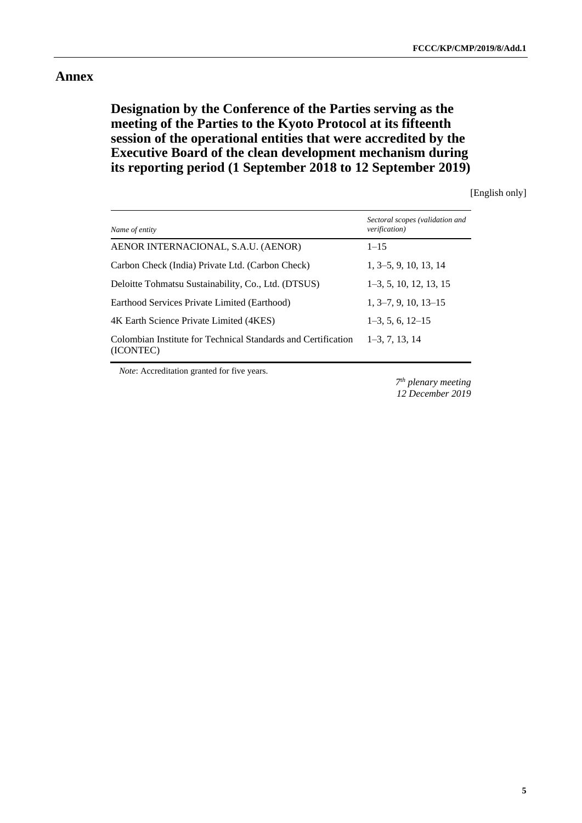#### **Annex**

# **Designation by the Conference of the Parties serving as the meeting of the Parties to the Kyoto Protocol at its fifteenth session of the operational entities that were accredited by the Executive Board of the clean development mechanism during its reporting period (1 September 2018 to 12 September 2019)**

[English only]

| Name of entity                                                             | Sectoral scopes (validation and<br>verification) |
|----------------------------------------------------------------------------|--------------------------------------------------|
| AENOR INTERNACIONAL, S.A.U. (AENOR)                                        | $1 - 15$                                         |
| Carbon Check (India) Private Ltd. (Carbon Check)                           | $1, 3-5, 9, 10, 13, 14$                          |
| Deloitte Tohmatsu Sustainability, Co., Ltd. (DTSUS)                        | $1-3, 5, 10, 12, 13, 15$                         |
| Earthood Services Private Limited (Earthood)                               | $1, 3-7, 9, 10, 13-15$                           |
| 4K Earth Science Private Limited (4KES)                                    | $1-3, 5, 6, 12-15$                               |
| Colombian Institute for Technical Standards and Certification<br>(ICONTEC) | $1-3, 7, 13, 14$                                 |

*Note*: Accreditation granted for five years.

*7 th plenary meeting 12 December 2019*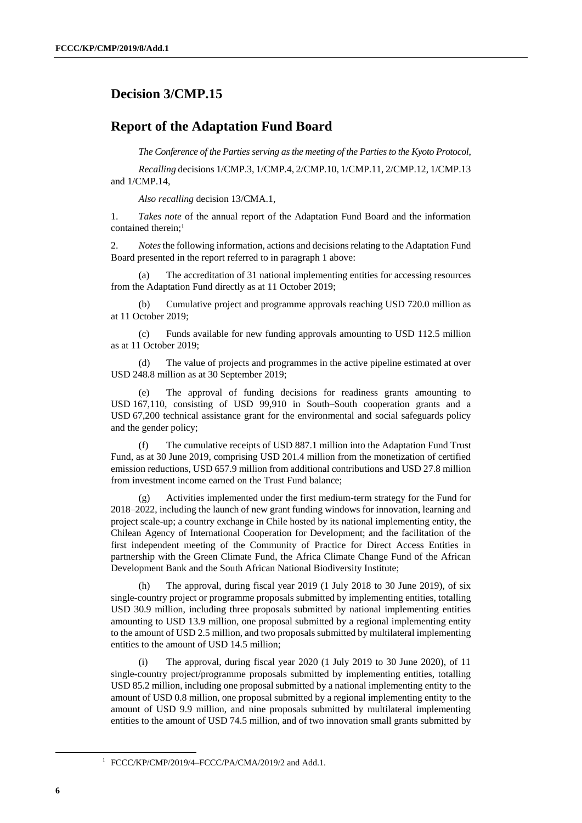### <span id="page-5-0"></span>**Decision 3/CMP.15**

#### **Report of the Adaptation Fund Board**

*The Conference of the Parties serving as the meeting of the Parties to the Kyoto Protocol*,

*Recalling* decisions 1/CMP.3, 1/CMP.4, 2/CMP.10, 1/CMP.11, 2/CMP.12, 1/CMP.13 and 1/CMP.14,

*Also recalling* decision 13/CMA.1,

1. *Takes note* of the annual report of the Adaptation Fund Board and the information contained therein:<sup>1</sup>

2. *Notes* the following information, actions and decisions relating to the Adaptation Fund Board presented in the report referred to in paragraph 1 above:

(a) The accreditation of 31 national implementing entities for accessing resources from the Adaptation Fund directly as at 11 October 2019;

(b) Cumulative project and programme approvals reaching USD 720.0 million as at 11 October 2019;

(c) Funds available for new funding approvals amounting to USD 112.5 million as at 11 October 2019;

(d) The value of projects and programmes in the active pipeline estimated at over USD 248.8 million as at 30 September 2019;

(e) The approval of funding decisions for readiness grants amounting to USD 167,110, consisting of USD 99,910 in South–South cooperation grants and a USD 67,200 technical assistance grant for the environmental and social safeguards policy and the gender policy;

(f) The cumulative receipts of USD 887.1 million into the Adaptation Fund Trust Fund, as at 30 June 2019, comprising USD 201.4 million from the monetization of certified emission reductions, USD 657.9 million from additional contributions and USD 27.8 million from investment income earned on the Trust Fund balance;

Activities implemented under the first medium-term strategy for the Fund for 2018–2022, including the launch of new grant funding windows for innovation, learning and project scale-up; a country exchange in Chile hosted by its national implementing entity, the Chilean Agency of International Cooperation for Development; and the facilitation of the first independent meeting of the Community of Practice for Direct Access Entities in partnership with the Green Climate Fund, the Africa Climate Change Fund of the African Development Bank and the South African National Biodiversity Institute;

(h) The approval, during fiscal year 2019 (1 July 2018 to 30 June 2019), of six single-country project or programme proposals submitted by implementing entities, totalling USD 30.9 million, including three proposals submitted by national implementing entities amounting to USD 13.9 million, one proposal submitted by a regional implementing entity to the amount of USD 2.5 million, and two proposals submitted by multilateral implementing entities to the amount of USD 14.5 million;

(i) The approval, during fiscal year 2020 (1 July 2019 to 30 June 2020), of 11 single-country project/programme proposals submitted by implementing entities, totalling USD 85.2 million, including one proposal submitted by a national implementing entity to the amount of USD 0.8 million, one proposal submitted by a regional implementing entity to the amount of USD 9.9 million, and nine proposals submitted by multilateral implementing entities to the amount of USD 74.5 million, and of two innovation small grants submitted by

<sup>&</sup>lt;sup>1</sup> FCCC/KP/CMP/2019/4-FCCC/PA/CMA/2019/2 and Add.1.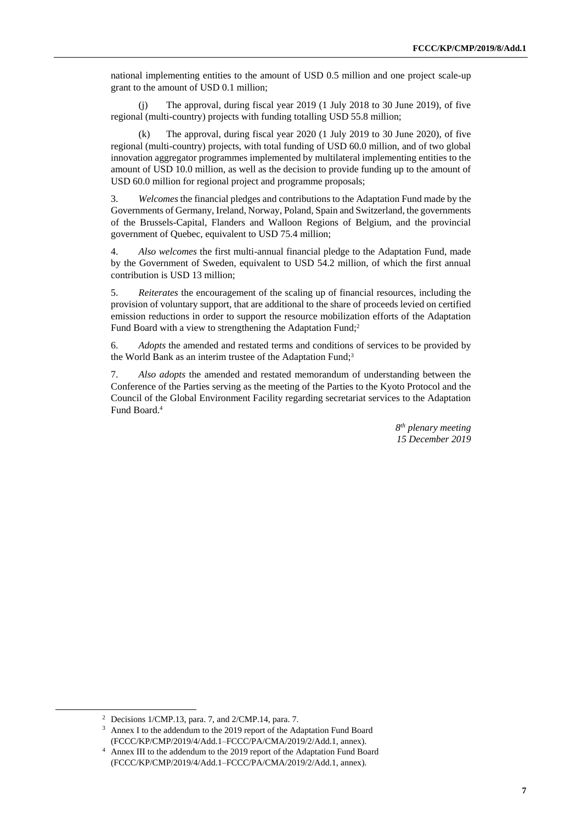national implementing entities to the amount of USD 0.5 million and one project scale-up grant to the amount of USD 0.1 million;

(j) The approval, during fiscal year 2019 (1 July 2018 to 30 June 2019), of five regional (multi-country) projects with funding totalling USD 55.8 million;

(k) The approval, during fiscal year 2020 (1 July 2019 to 30 June 2020), of five regional (multi-country) projects, with total funding of USD 60.0 million, and of two global innovation aggregator programmes implemented by multilateral implementing entities to the amount of USD 10.0 million, as well as the decision to provide funding up to the amount of USD 60.0 million for regional project and programme proposals;

3. *Welcomes* the financial pledges and contributions to the Adaptation Fund made by the Governments of Germany, Ireland, Norway, Poland, Spain and Switzerland, the governments of the Brussels-Capital, Flanders and Walloon Regions of Belgium, and the provincial government of Quebec, equivalent to USD 75.4 million;

4. *Also welcomes* the first multi-annual financial pledge to the Adaptation Fund, made by the Government of Sweden, equivalent to USD 54.2 million, of which the first annual contribution is USD 13 million;

5. *Reiterates* the encouragement of the scaling up of financial resources, including the provision of voluntary support, that are additional to the share of proceeds levied on certified emission reductions in order to support the resource mobilization efforts of the Adaptation Fund Board with a view to strengthening the Adaptation Fund;<sup>2</sup>

6. *Adopts* the amended and restated terms and conditions of services to be provided by the World Bank as an interim trustee of the Adaptation Fund;<sup>3</sup>

7. *Also adopts* the amended and restated memorandum of understanding between the Conference of the Parties serving as the meeting of the Parties to the Kyoto Protocol and the Council of the Global Environment Facility regarding secretariat services to the Adaptation Fund Board.<sup>4</sup>

> *8 th plenary meeting 15 December 2019*

<sup>2</sup> Decisions 1/CMP.13, para. 7, and 2/CMP.14, para. 7.

<sup>3</sup> Annex I to the addendum to the 2019 report of the Adaptation Fund Board (FCCC/KP/CMP/2019/4/Add.1–FCCC/PA/CMA/2019/2/Add.1, annex).

<sup>4</sup> Annex III to the addendum to the 2019 report of the Adaptation Fund Board (FCCC/KP/CMP/2019/4/Add.1–FCCC/PA/CMA/2019/2/Add.1, annex).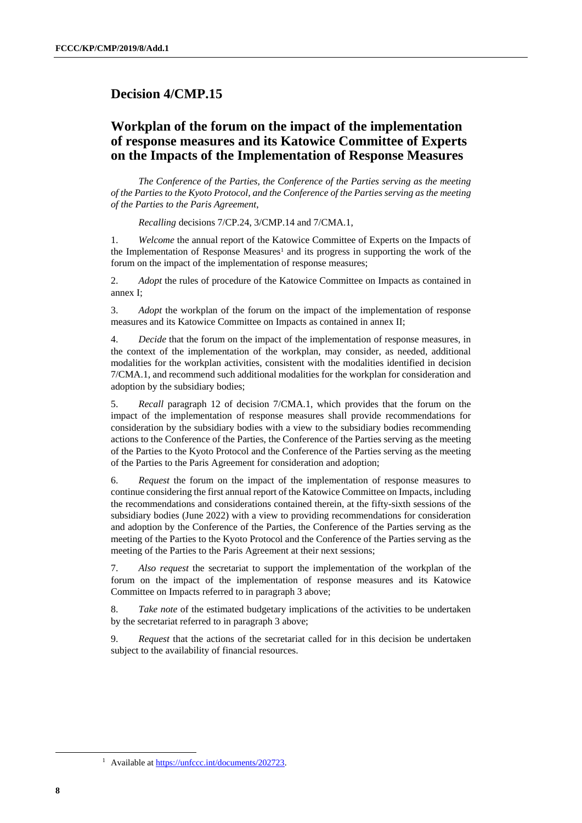### <span id="page-7-0"></span>**Decision 4/CMP.15**

# **Workplan of the forum on the impact of the implementation of response measures and its Katowice Committee of Experts on the Impacts of the Implementation of Response Measures**

*The Conference of the Parties, the Conference of the Parties serving as the meeting of the Parties to the Kyoto Protocol, and the Conference of the Parties serving as the meeting of the Parties to the Paris Agreement*,

*Recalling* decisions 7/CP.24, 3/CMP.14 and 7/CMA.1,

1. *Welcome* the annual report of the Katowice Committee of Experts on the Impacts of the Implementation of Response Measures<sup>1</sup> and its progress in supporting the work of the forum on the impact of the implementation of response measures;

2. *Adopt* the rules of procedure of the Katowice Committee on Impacts as contained in annex I;

3. *Adopt* the workplan of the forum on the impact of the implementation of response measures and its Katowice Committee on Impacts as contained in annex II;

4. *Decide* that the forum on the impact of the implementation of response measures, in the context of the implementation of the workplan, may consider, as needed, additional modalities for the workplan activities, consistent with the modalities identified in decision 7/CMA.1, and recommend such additional modalities for the workplan for consideration and adoption by the subsidiary bodies;

5. *Recall* paragraph 12 of decision 7/CMA.1, which provides that the forum on the impact of the implementation of response measures shall provide recommendations for consideration by the subsidiary bodies with a view to the subsidiary bodies recommending actions to the Conference of the Parties, the Conference of the Parties serving as the meeting of the Parties to the Kyoto Protocol and the Conference of the Parties serving as the meeting of the Parties to the Paris Agreement for consideration and adoption;

6. *Request* the forum on the impact of the implementation of response measures to continue considering the first annual report of the Katowice Committee on Impacts, including the recommendations and considerations contained therein, at the fifty-sixth sessions of the subsidiary bodies (June 2022) with a view to providing recommendations for consideration and adoption by the Conference of the Parties, the Conference of the Parties serving as the meeting of the Parties to the Kyoto Protocol and the Conference of the Parties serving as the meeting of the Parties to the Paris Agreement at their next sessions;

7. *Also request* the secretariat to support the implementation of the workplan of the forum on the impact of the implementation of response measures and its Katowice Committee on Impacts referred to in paragraph 3 above;

8. *Take note* of the estimated budgetary implications of the activities to be undertaken by the secretariat referred to in paragraph 3 above;

9. *Request* that the actions of the secretariat called for in this decision be undertaken subject to the availability of financial resources.

<sup>1</sup> Available a[t https://unfccc.int/documents/202723.](https://unfccc.int/documents/202723)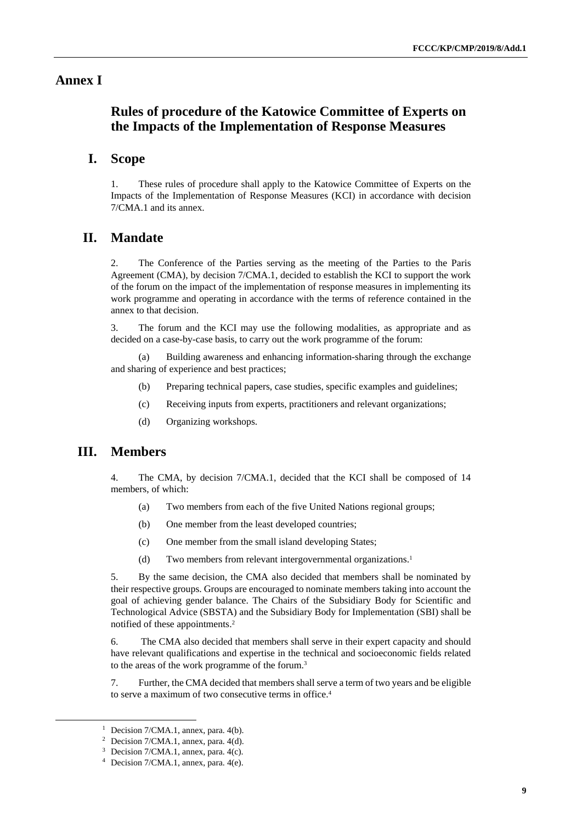#### **Annex I**

# **Rules of procedure of the Katowice Committee of Experts on the Impacts of the Implementation of Response Measures**

#### **I. Scope**

1. These rules of procedure shall apply to the Katowice Committee of Experts on the Impacts of the Implementation of Response Measures (KCI) in accordance with decision 7/CMA.1 and its annex.

#### **II. Mandate**

2. The Conference of the Parties serving as the meeting of the Parties to the Paris Agreement (CMA), by decision 7/CMA.1, decided to establish the KCI to support the work of the forum on the impact of the implementation of response measures in implementing its work programme and operating in accordance with the terms of reference contained in the annex to that decision.

3. The forum and the KCI may use the following modalities, as appropriate and as decided on a case-by-case basis, to carry out the work programme of the forum:

(a) Building awareness and enhancing information-sharing through the exchange and sharing of experience and best practices;

- (b) Preparing technical papers, case studies, specific examples and guidelines;
- (c) Receiving inputs from experts, practitioners and relevant organizations;
- (d) Organizing workshops.

#### **III. Members**

 $\overline{a}$ 

4. The CMA, by decision 7/CMA.1, decided that the KCI shall be composed of 14 members, of which:

- (a) Two members from each of the five United Nations regional groups;
- (b) One member from the least developed countries;
- (c) One member from the small island developing States;
- (d) Two members from relevant intergovernmental organizations.<sup>1</sup>

5. By the same decision, the CMA also decided that members shall be nominated by their respective groups. Groups are encouraged to nominate members taking into account the goal of achieving gender balance. The Chairs of the Subsidiary Body for Scientific and Technological Advice (SBSTA) and the Subsidiary Body for Implementation (SBI) shall be notified of these appointments.<sup>2</sup>

6. The CMA also decided that members shall serve in their expert capacity and should have relevant qualifications and expertise in the technical and socioeconomic fields related to the areas of the work programme of the forum.<sup>3</sup>

7. Further, the CMA decided that members shall serve a term of two years and be eligible to serve a maximum of two consecutive terms in office.<sup>4</sup>

<sup>&</sup>lt;sup>1</sup> Decision  $7/CMA.1$ , annex, para.  $4(b)$ .

<sup>&</sup>lt;sup>2</sup> Decision  $7/CMA.1$ , annex, para.  $4(d)$ .

<sup>3</sup> Decision 7/CMA.1, annex, para. 4(c).

<sup>4</sup> Decision 7/CMA.1, annex, para. 4(e).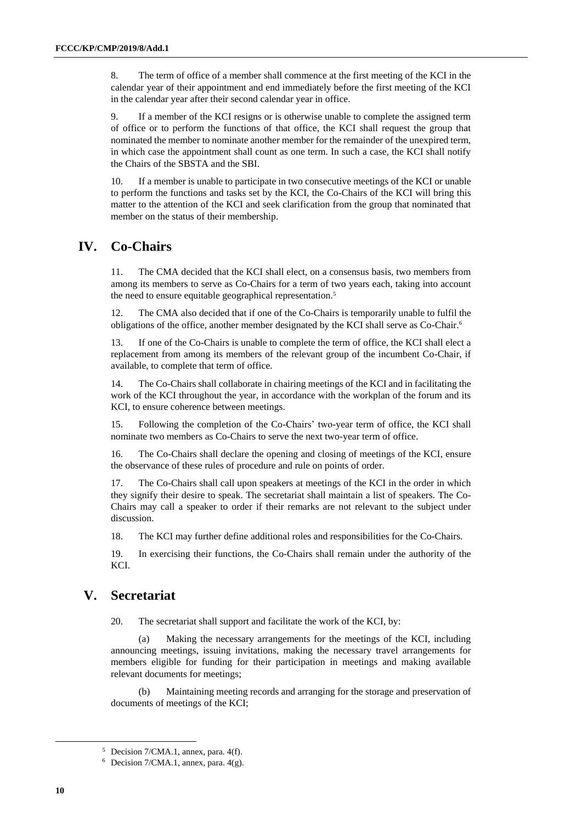8. The term of office of a member shall commence at the first meeting of the KCI in the calendar year of their appointment and end immediately before the first meeting of the KCI in the calendar year after their second calendar year in office.

9. If a member of the KCI resigns or is otherwise unable to complete the assigned term of office or to perform the functions of that office, the KCI shall request the group that nominated the member to nominate another member for the remainder of the unexpired term, in which case the appointment shall count as one term. In such a case, the KCI shall notify the Chairs of the SBSTA and the SBI.

10. If a member is unable to participate in two consecutive meetings of the KCI or unable to perform the functions and tasks set by the KCI, the Co-Chairs of the KCI will bring this matter to the attention of the KCI and seek clarification from the group that nominated that member on the status of their membership.

### **IV. Co-Chairs**

11. The CMA decided that the KCI shall elect, on a consensus basis, two members from among its members to serve as Co-Chairs for a term of two years each, taking into account the need to ensure equitable geographical representation.<sup>5</sup>

12. The CMA also decided that if one of the Co-Chairs is temporarily unable to fulfil the obligations of the office, another member designated by the KCI shall serve as Co-Chair.<sup>6</sup>

13. If one of the Co-Chairs is unable to complete the term of office, the KCI shall elect a replacement from among its members of the relevant group of the incumbent Co-Chair, if available, to complete that term of office.

14. The Co-Chairs shall collaborate in chairing meetings of the KCI and in facilitating the work of the KCI throughout the year, in accordance with the workplan of the forum and its KCI, to ensure coherence between meetings.

15. Following the completion of the Co-Chairs' two-year term of office, the KCI shall nominate two members as Co-Chairs to serve the next two-year term of office.

16. The Co-Chairs shall declare the opening and closing of meetings of the KCI, ensure the observance of these rules of procedure and rule on points of order.

17. The Co-Chairs shall call upon speakers at meetings of the KCI in the order in which they signify their desire to speak. The secretariat shall maintain a list of speakers. The Co-Chairs may call a speaker to order if their remarks are not relevant to the subject under discussion.

18. The KCI may further define additional roles and responsibilities for the Co-Chairs.

19. In exercising their functions, the Co-Chairs shall remain under the authority of the KCI.

### **V. Secretariat**

20. The secretariat shall support and facilitate the work of the KCI, by:

(a) Making the necessary arrangements for the meetings of the KCI, including announcing meetings, issuing invitations, making the necessary travel arrangements for members eligible for funding for their participation in meetings and making available relevant documents for meetings;

(b) Maintaining meeting records and arranging for the storage and preservation of documents of meetings of the KCI;

<sup>5</sup> Decision 7/CMA.1, annex, para. 4(f).

 $6$  Decision 7/CMA.1, annex, para. 4(g).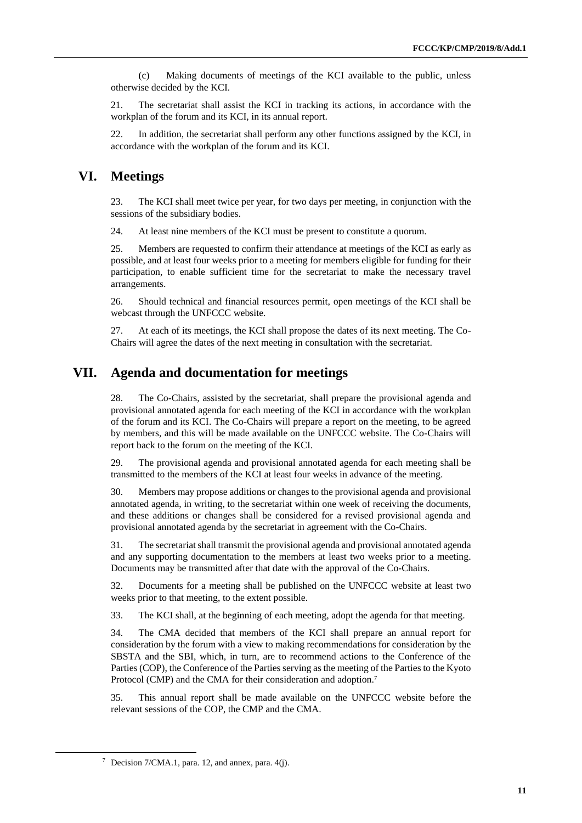(c) Making documents of meetings of the KCI available to the public, unless otherwise decided by the KCI.

21. The secretariat shall assist the KCI in tracking its actions, in accordance with the workplan of the forum and its KCI, in its annual report.

22. In addition, the secretariat shall perform any other functions assigned by the KCI, in accordance with the workplan of the forum and its KCI.

### **VI. Meetings**

23. The KCI shall meet twice per year, for two days per meeting, in conjunction with the sessions of the subsidiary bodies.

24. At least nine members of the KCI must be present to constitute a quorum.

25. Members are requested to confirm their attendance at meetings of the KCI as early as possible, and at least four weeks prior to a meeting for members eligible for funding for their participation, to enable sufficient time for the secretariat to make the necessary travel arrangements.

26. Should technical and financial resources permit, open meetings of the KCI shall be webcast through the UNFCCC website.

27. At each of its meetings, the KCI shall propose the dates of its next meeting. The Co-Chairs will agree the dates of the next meeting in consultation with the secretariat.

# **VII. Agenda and documentation for meetings**

28. The Co-Chairs, assisted by the secretariat, shall prepare the provisional agenda and provisional annotated agenda for each meeting of the KCI in accordance with the workplan of the forum and its KCI. The Co-Chairs will prepare a report on the meeting, to be agreed by members, and this will be made available on the UNFCCC website. The Co-Chairs will report back to the forum on the meeting of the KCI.

29. The provisional agenda and provisional annotated agenda for each meeting shall be transmitted to the members of the KCI at least four weeks in advance of the meeting.

30. Members may propose additions or changes to the provisional agenda and provisional annotated agenda, in writing, to the secretariat within one week of receiving the documents, and these additions or changes shall be considered for a revised provisional agenda and provisional annotated agenda by the secretariat in agreement with the Co-Chairs.

31. The secretariat shall transmit the provisional agenda and provisional annotated agenda and any supporting documentation to the members at least two weeks prior to a meeting. Documents may be transmitted after that date with the approval of the Co-Chairs.

32. Documents for a meeting shall be published on the UNFCCC website at least two weeks prior to that meeting, to the extent possible.

33. The KCI shall, at the beginning of each meeting, adopt the agenda for that meeting.

34. The CMA decided that members of the KCI shall prepare an annual report for consideration by the forum with a view to making recommendations for consideration by the SBSTA and the SBI, which, in turn, are to recommend actions to the Conference of the Parties (COP), the Conference of the Parties serving as the meeting of the Parties to the Kyoto Protocol (CMP) and the CMA for their consideration and adoption.<sup>7</sup>

35. This annual report shall be made available on the UNFCCC website before the relevant sessions of the COP, the CMP and the CMA.

<sup>&</sup>lt;sup>7</sup> Decision  $7/CMA.1$ , para. 12, and annex, para.  $4(i)$ .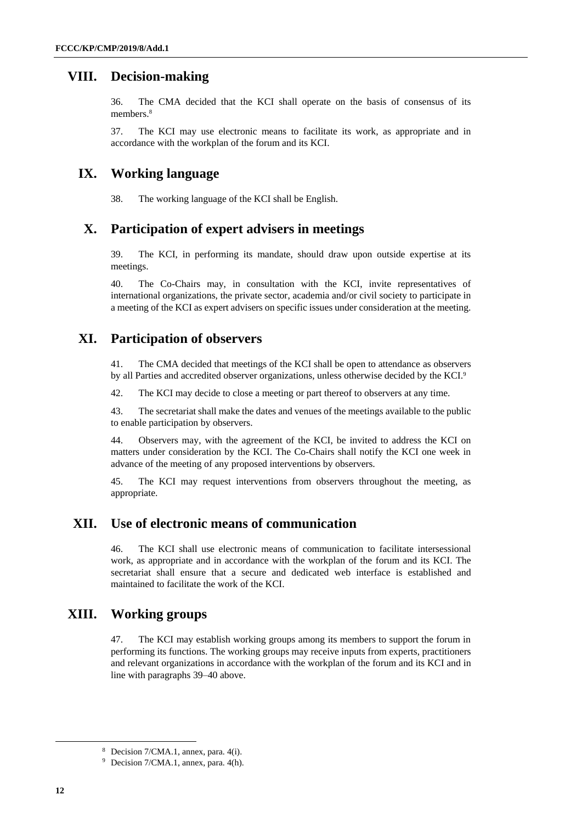#### **VIII. Decision-making**

36. The CMA decided that the KCI shall operate on the basis of consensus of its members.<sup>8</sup>

37. The KCI may use electronic means to facilitate its work, as appropriate and in accordance with the workplan of the forum and its KCI.

#### **IX. Working language**

38. The working language of the KCI shall be English.

#### **X. Participation of expert advisers in meetings**

39. The KCI, in performing its mandate, should draw upon outside expertise at its meetings.

40. The Co-Chairs may, in consultation with the KCI, invite representatives of international organizations, the private sector, academia and/or civil society to participate in a meeting of the KCI as expert advisers on specific issues under consideration at the meeting.

#### **XI. Participation of observers**

41. The CMA decided that meetings of the KCI shall be open to attendance as observers by all Parties and accredited observer organizations, unless otherwise decided by the KCI.<sup>9</sup>

42. The KCI may decide to close a meeting or part thereof to observers at any time.

43. The secretariat shall make the dates and venues of the meetings available to the public to enable participation by observers.

44. Observers may, with the agreement of the KCI, be invited to address the KCI on matters under consideration by the KCI. The Co-Chairs shall notify the KCI one week in advance of the meeting of any proposed interventions by observers.

45. The KCI may request interventions from observers throughout the meeting, as appropriate.

#### **XII. Use of electronic means of communication**

46. The KCI shall use electronic means of communication to facilitate intersessional work, as appropriate and in accordance with the workplan of the forum and its KCI. The secretariat shall ensure that a secure and dedicated web interface is established and maintained to facilitate the work of the KCI.

#### **XIII. Working groups**

47. The KCI may establish working groups among its members to support the forum in performing its functions. The working groups may receive inputs from experts, practitioners and relevant organizations in accordance with the workplan of the forum and its KCI and in line with paragraphs 39–40 above.

<sup>8</sup> Decision 7/CMA.1, annex, para. 4(i).

<sup>9</sup> Decision 7/CMA.1, annex, para. 4(h).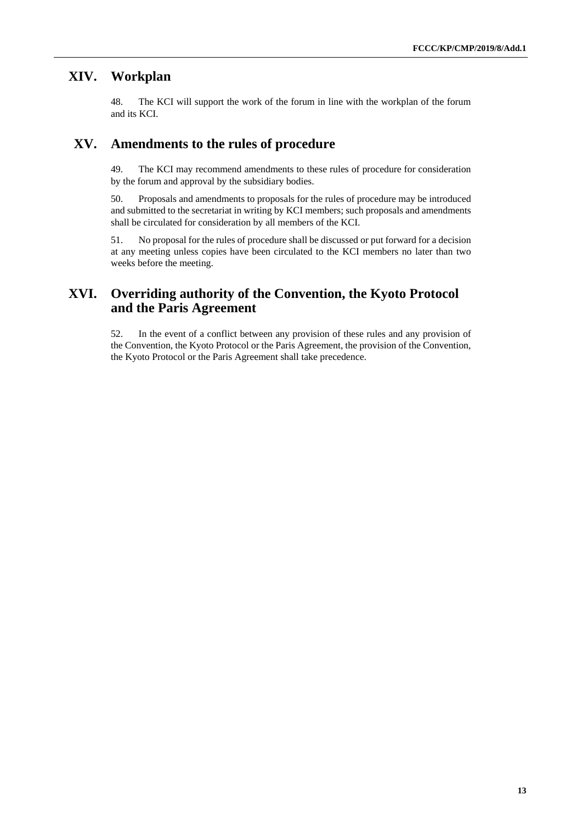#### **XIV. Workplan**

48. The KCI will support the work of the forum in line with the workplan of the forum and its KCI.

### **XV. Amendments to the rules of procedure**

49. The KCI may recommend amendments to these rules of procedure for consideration by the forum and approval by the subsidiary bodies.

50. Proposals and amendments to proposals for the rules of procedure may be introduced and submitted to the secretariat in writing by KCI members; such proposals and amendments shall be circulated for consideration by all members of the KCI.

51. No proposal for the rules of procedure shall be discussed or put forward for a decision at any meeting unless copies have been circulated to the KCI members no later than two weeks before the meeting.

# **XVI. Overriding authority of the Convention, the Kyoto Protocol and the Paris Agreement**

52. In the event of a conflict between any provision of these rules and any provision of the Convention, the Kyoto Protocol or the Paris Agreement, the provision of the Convention, the Kyoto Protocol or the Paris Agreement shall take precedence.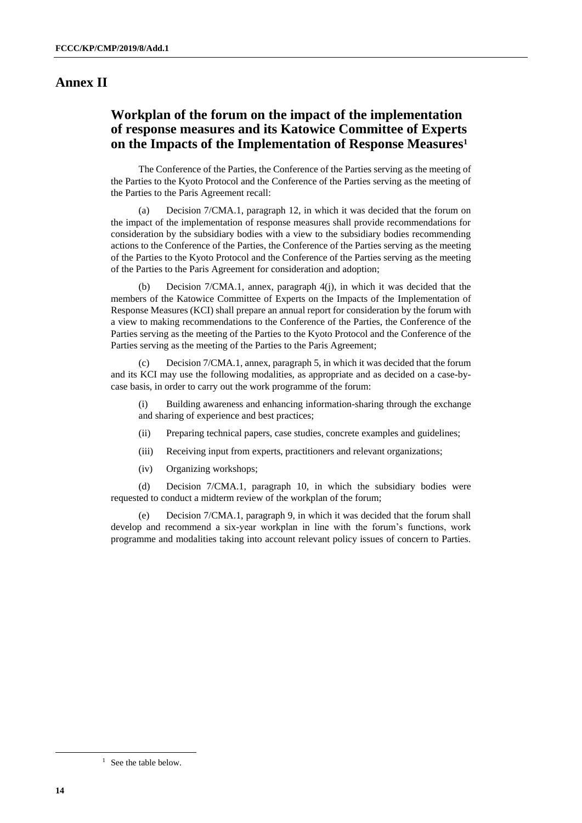# **Annex II**

# **Workplan of the forum on the impact of the implementation of response measures and its Katowice Committee of Experts on the Impacts of the Implementation of Response Measures<sup>1</sup>**

The Conference of the Parties, the Conference of the Parties serving as the meeting of the Parties to the Kyoto Protocol and the Conference of the Parties serving as the meeting of the Parties to the Paris Agreement recall:

(a) Decision 7/CMA.1, paragraph 12, in which it was decided that the forum on the impact of the implementation of response measures shall provide recommendations for consideration by the subsidiary bodies with a view to the subsidiary bodies recommending actions to the Conference of the Parties, the Conference of the Parties serving as the meeting of the Parties to the Kyoto Protocol and the Conference of the Parties serving as the meeting of the Parties to the Paris Agreement for consideration and adoption;

(b) Decision 7/CMA.1, annex, paragraph 4(j), in which it was decided that the members of the Katowice Committee of Experts on the Impacts of the Implementation of Response Measures (KCI) shall prepare an annual report for consideration by the forum with a view to making recommendations to the Conference of the Parties, the Conference of the Parties serving as the meeting of the Parties to the Kyoto Protocol and the Conference of the Parties serving as the meeting of the Parties to the Paris Agreement;

(c) Decision 7/CMA.1, annex, paragraph 5, in which it was decided that the forum and its KCI may use the following modalities, as appropriate and as decided on a case-bycase basis, in order to carry out the work programme of the forum:

(i) Building awareness and enhancing information-sharing through the exchange and sharing of experience and best practices;

- (ii) Preparing technical papers, case studies, concrete examples and guidelines;
- (iii) Receiving input from experts, practitioners and relevant organizations;
- (iv) Organizing workshops;

(d) Decision 7/CMA.1, paragraph 10, in which the subsidiary bodies were requested to conduct a midterm review of the workplan of the forum;

(e) Decision 7/CMA.1, paragraph 9, in which it was decided that the forum shall develop and recommend a six-year workplan in line with the forum's functions, work programme and modalities taking into account relevant policy issues of concern to Parties.

<sup>1</sup> See the table below.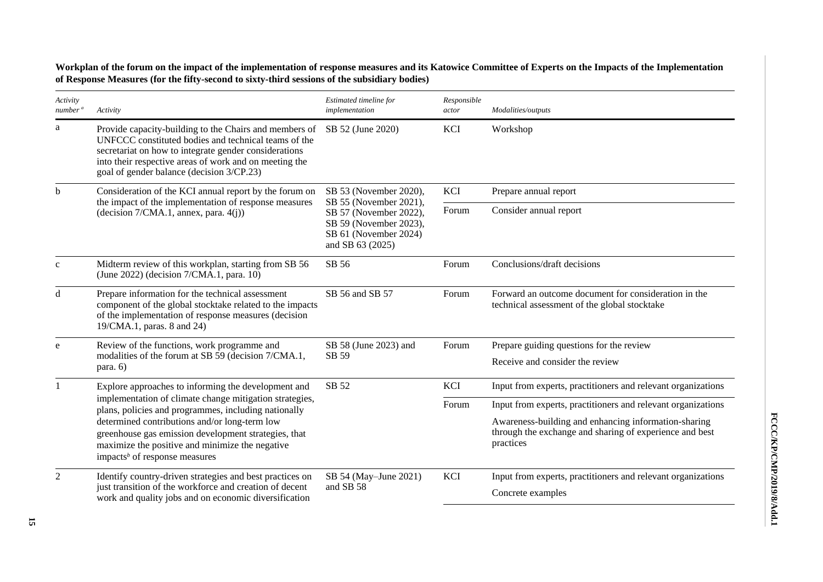**Workplan of the forum on the impact of the implementation of response measures and its Katowice Committee of Experts on the Impacts of the Implementation of Response Measures (for the fifty-second to sixty-third sessions of the subsidiary bodies)**

| Activity<br>number <sup>a</sup> | Activity                                                                                                                                                                                                                                                                                                                              | Estimated timeline for<br>implementation                                                                                | Responsible<br>actor                                                                                                         | Modalities/outputs                                                                                   |
|---------------------------------|---------------------------------------------------------------------------------------------------------------------------------------------------------------------------------------------------------------------------------------------------------------------------------------------------------------------------------------|-------------------------------------------------------------------------------------------------------------------------|------------------------------------------------------------------------------------------------------------------------------|------------------------------------------------------------------------------------------------------|
| a                               | Provide capacity-building to the Chairs and members of<br>UNFCCC constituted bodies and technical teams of the<br>secretariat on how to integrate gender considerations<br>into their respective areas of work and on meeting the<br>goal of gender balance (decision 3/CP.23)                                                        | SB 52 (June 2020)                                                                                                       | <b>KCI</b>                                                                                                                   | Workshop                                                                                             |
| b                               | Consideration of the KCI annual report by the forum on                                                                                                                                                                                                                                                                                | SB 53 (November 2020),                                                                                                  | KCI                                                                                                                          | Prepare annual report                                                                                |
|                                 | the impact of the implementation of response measures<br>(decision 7/CMA.1, annex, para. 4(j))                                                                                                                                                                                                                                        | SB 55 (November 2021),<br>SB 57 (November 2022),<br>SB 59 (November 2023),<br>SB 61 (November 2024)<br>and SB 63 (2025) |                                                                                                                              | Consider annual report                                                                               |
| $\mathbf c$                     | Midterm review of this workplan, starting from SB 56<br>(June 2022) (decision 7/CMA.1, para. 10)                                                                                                                                                                                                                                      | SB 56                                                                                                                   | Forum                                                                                                                        | Conclusions/draft decisions                                                                          |
| d                               | Prepare information for the technical assessment<br>component of the global stocktake related to the impacts<br>of the implementation of response measures (decision<br>19/CMA.1, paras. 8 and 24)                                                                                                                                    | SB 56 and SB 57                                                                                                         | Forum                                                                                                                        | Forward an outcome document for consideration in the<br>technical assessment of the global stocktake |
| e                               | Review of the functions, work programme and<br>SB 58 (June 2023) and                                                                                                                                                                                                                                                                  |                                                                                                                         | Forum                                                                                                                        | Prepare guiding questions for the review                                                             |
|                                 | modalities of the forum at SB 59 (decision 7/CMA.1,<br>para. 6)                                                                                                                                                                                                                                                                       | SB 59                                                                                                                   |                                                                                                                              | Receive and consider the review                                                                      |
|                                 | Explore approaches to informing the development and                                                                                                                                                                                                                                                                                   | SB 52                                                                                                                   | <b>KCI</b>                                                                                                                   | Input from experts, practitioners and relevant organizations                                         |
|                                 | implementation of climate change mitigation strategies,<br>plans, policies and programmes, including nationally<br>determined contributions and/or long-term low<br>greenhouse gas emission development strategies, that<br>maximize the positive and minimize the negative<br>impacts <sup><math>b</math></sup> of response measures |                                                                                                                         | Forum                                                                                                                        | Input from experts, practitioners and relevant organizations                                         |
|                                 |                                                                                                                                                                                                                                                                                                                                       |                                                                                                                         | Awareness-building and enhancing information-sharing<br>through the exchange and sharing of experience and best<br>practices |                                                                                                      |
| $\overline{2}$                  | Identify country-driven strategies and best practices on                                                                                                                                                                                                                                                                              | SB 54 (May-June 2021)                                                                                                   | KCI                                                                                                                          | Input from experts, practitioners and relevant organizations                                         |
|                                 | just transition of the workforce and creation of decent<br>work and quality jobs and on economic diversification                                                                                                                                                                                                                      | and SB 58                                                                                                               |                                                                                                                              | Concrete examples                                                                                    |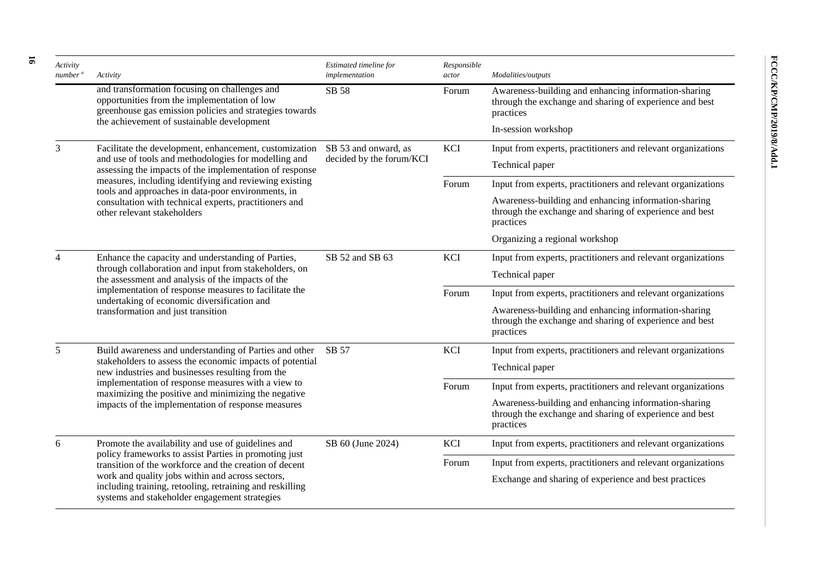| Activity<br>number <sup>a</sup> | Activity                                                                                                                                                                                                                                                                                                       | Estimated timeline for<br>implementation | Responsible<br>actor | Modalities/outputs                                                                                                           |
|---------------------------------|----------------------------------------------------------------------------------------------------------------------------------------------------------------------------------------------------------------------------------------------------------------------------------------------------------------|------------------------------------------|----------------------|------------------------------------------------------------------------------------------------------------------------------|
|                                 | and transformation focusing on challenges and<br>opportunities from the implementation of low<br>greenhouse gas emission policies and strategies towards                                                                                                                                                       | SB 58                                    | Forum                | Awareness-building and enhancing information-sharing<br>through the exchange and sharing of experience and best<br>practices |
|                                 | the achievement of sustainable development                                                                                                                                                                                                                                                                     |                                          |                      | In-session workshop                                                                                                          |
| 3                               | Facilitate the development, enhancement, customization                                                                                                                                                                                                                                                         | SB 53 and onward, as                     | KCI                  | Input from experts, practitioners and relevant organizations                                                                 |
|                                 | and use of tools and methodologies for modelling and<br>assessing the impacts of the implementation of response                                                                                                                                                                                                | decided by the forum/KCI                 |                      | Technical paper                                                                                                              |
|                                 | measures, including identifying and reviewing existing                                                                                                                                                                                                                                                         |                                          | Forum                | Input from experts, practitioners and relevant organizations                                                                 |
|                                 | tools and approaches in data-poor environments, in<br>consultation with technical experts, practitioners and<br>other relevant stakeholders                                                                                                                                                                    |                                          |                      | Awareness-building and enhancing information-sharing<br>through the exchange and sharing of experience and best<br>practices |
|                                 |                                                                                                                                                                                                                                                                                                                |                                          |                      | Organizing a regional workshop                                                                                               |
|                                 | Enhance the capacity and understanding of Parties,<br>through collaboration and input from stakeholders, on<br>the assessment and analysis of the impacts of the<br>implementation of response measures to facilitate the<br>undertaking of economic diversification and<br>transformation and just transition | SB 52 and SB 63                          | KCI                  | Input from experts, practitioners and relevant organizations                                                                 |
|                                 |                                                                                                                                                                                                                                                                                                                |                                          |                      | Technical paper                                                                                                              |
|                                 |                                                                                                                                                                                                                                                                                                                |                                          | Forum                | Input from experts, practitioners and relevant organizations                                                                 |
|                                 |                                                                                                                                                                                                                                                                                                                |                                          |                      | Awareness-building and enhancing information-sharing<br>through the exchange and sharing of experience and best<br>practices |
| 5                               | Build awareness and understanding of Parties and other                                                                                                                                                                                                                                                         | SB 57                                    | KCI                  | Input from experts, practitioners and relevant organizations                                                                 |
|                                 | stakeholders to assess the economic impacts of potential<br>new industries and businesses resulting from the<br>implementation of response measures with a view to<br>maximizing the positive and minimizing the negative<br>impacts of the implementation of response measures                                |                                          |                      | Technical paper                                                                                                              |
|                                 |                                                                                                                                                                                                                                                                                                                |                                          | Forum                | Input from experts, practitioners and relevant organizations                                                                 |
|                                 |                                                                                                                                                                                                                                                                                                                |                                          |                      | Awareness-building and enhancing information-sharing<br>through the exchange and sharing of experience and best<br>practices |
| 6                               | Promote the availability and use of guidelines and                                                                                                                                                                                                                                                             | SB 60 (June 2024)                        | KCI                  | Input from experts, practitioners and relevant organizations                                                                 |
|                                 | policy frameworks to assist Parties in promoting just<br>transition of the workforce and the creation of decent                                                                                                                                                                                                |                                          | Forum                | Input from experts, practitioners and relevant organizations                                                                 |
|                                 | work and quality jobs within and across sectors,<br>including training, retooling, retraining and reskilling<br>systems and stakeholder engagement strategies                                                                                                                                                  |                                          |                      | Exchange and sharing of experience and best practices                                                                        |

**16**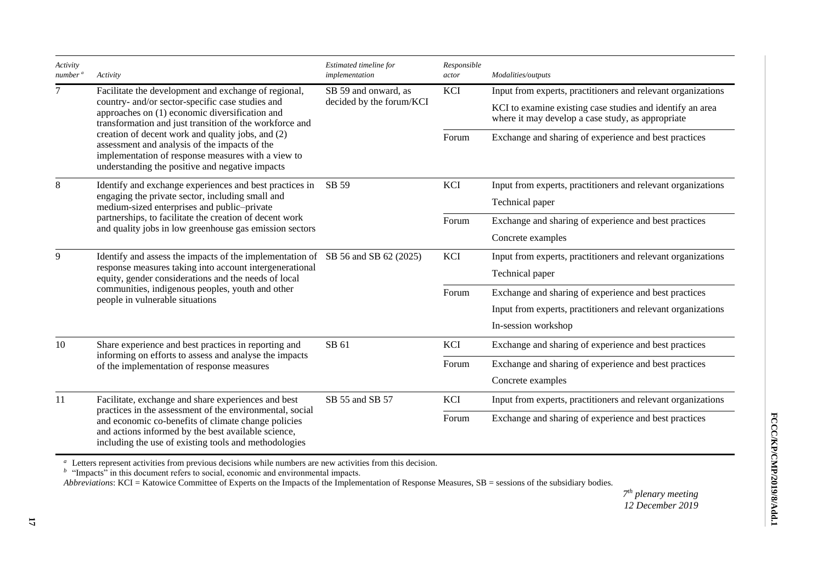| Activity<br>number <sup>a</sup> | Activity                                                                                                                                                                                                                        | Estimated timeline for<br>implementation | Responsible<br>actor | Modalities/outputs                                                                                             |
|---------------------------------|---------------------------------------------------------------------------------------------------------------------------------------------------------------------------------------------------------------------------------|------------------------------------------|----------------------|----------------------------------------------------------------------------------------------------------------|
| 7                               | Facilitate the development and exchange of regional,                                                                                                                                                                            | SB 59 and onward, as                     | <b>KCI</b>           | Input from experts, practitioners and relevant organizations                                                   |
|                                 | country- and/or sector-specific case studies and<br>approaches on (1) economic diversification and<br>transformation and just transition of the workforce and                                                                   | decided by the forum/KCI                 |                      | KCI to examine existing case studies and identify an area<br>where it may develop a case study, as appropriate |
|                                 | creation of decent work and quality jobs, and (2)<br>assessment and analysis of the impacts of the<br>implementation of response measures with a view to<br>understanding the positive and negative impacts                     |                                          | Forum                | Exchange and sharing of experience and best practices                                                          |
| 8                               | Identify and exchange experiences and best practices in                                                                                                                                                                         | SB 59                                    | <b>KCI</b>           | Input from experts, practitioners and relevant organizations                                                   |
|                                 | engaging the private sector, including small and<br>medium-sized enterprises and public-private                                                                                                                                 |                                          |                      | Technical paper                                                                                                |
|                                 | partnerships, to facilitate the creation of decent work<br>and quality jobs in low greenhouse gas emission sectors                                                                                                              |                                          | Forum                | Exchange and sharing of experience and best practices                                                          |
|                                 |                                                                                                                                                                                                                                 |                                          |                      | Concrete examples                                                                                              |
| 9                               | Identify and assess the impacts of the implementation of SB 56 and SB 62 (2025)                                                                                                                                                 |                                          | KCI                  | Input from experts, practitioners and relevant organizations                                                   |
|                                 | response measures taking into account intergenerational<br>equity, gender considerations and the needs of local<br>communities, indigenous peoples, youth and other<br>people in vulnerable situations                          |                                          |                      | Technical paper                                                                                                |
|                                 |                                                                                                                                                                                                                                 |                                          | Forum                | Exchange and sharing of experience and best practices                                                          |
|                                 |                                                                                                                                                                                                                                 |                                          |                      | Input from experts, practitioners and relevant organizations                                                   |
|                                 |                                                                                                                                                                                                                                 |                                          |                      | In-session workshop                                                                                            |
| 10                              | Share experience and best practices in reporting and                                                                                                                                                                            | SB 61                                    | KCI                  | Exchange and sharing of experience and best practices                                                          |
|                                 | informing on efforts to assess and analyse the impacts<br>of the implementation of response measures                                                                                                                            |                                          | Forum                | Exchange and sharing of experience and best practices                                                          |
|                                 |                                                                                                                                                                                                                                 |                                          |                      | Concrete examples                                                                                              |
| 11                              | Facilitate, exchange and share experiences and best                                                                                                                                                                             | SB 55 and SB 57                          | KCI                  | Input from experts, practitioners and relevant organizations                                                   |
|                                 | practices in the assessment of the environmental, social<br>and economic co-benefits of climate change policies<br>and actions informed by the best available science,<br>including the use of existing tools and methodologies |                                          | Forum                | Exchange and sharing of experience and best practices                                                          |

<sup>*a*</sup> Letters represent activities from previous decisions while numbers are new activities from this decision.<br><sup>*b*</sup> "Impacts" in this document refers to social, economic and environmental impacts.

*Abbreviations*: KCI = Katowice Committee of Experts on the Impacts of the Implementation of Response Measures, SB = sessions of the subsidiary bodies.

*7 th plenary meeting 12 December 2019*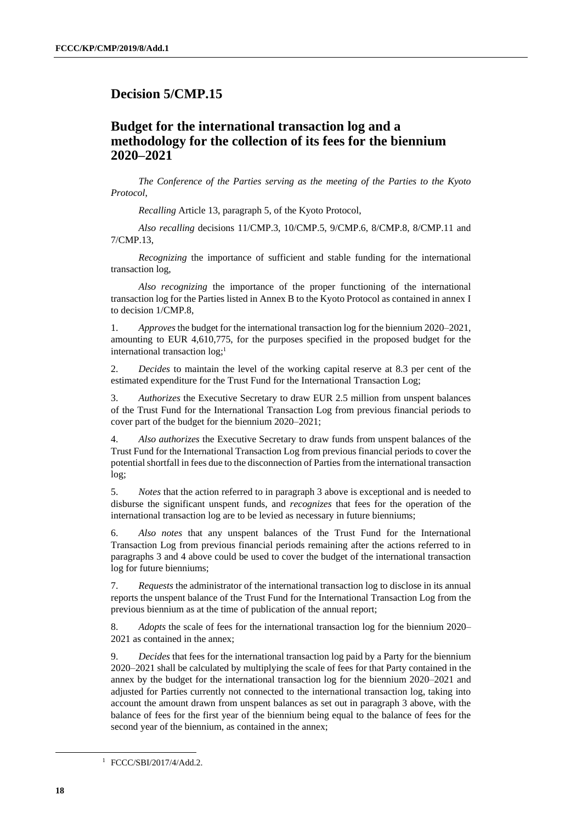# <span id="page-17-0"></span>**Decision 5/CMP.15**

# **Budget for the international transaction log and a methodology for the collection of its fees for the biennium 2020–2021**

*The Conference of the Parties serving as the meeting of the Parties to the Kyoto Protocol*,

*Recalling* Article 13, paragraph 5, of the Kyoto Protocol,

*Also recalling* decisions 11/CMP.3, 10/CMP.5, 9/CMP.6, 8/CMP.8, 8/CMP.11 and 7/CMP.13,

*Recognizing* the importance of sufficient and stable funding for the international transaction log,

*Also recognizing* the importance of the proper functioning of the international transaction log for the Parties listed in Annex B to the Kyoto Protocol as contained in annex I to decision 1/CMP.8,

1. *Approves* the budget for the international transaction log for the biennium 2020–2021, amounting to EUR 4,610,775, for the purposes specified in the proposed budget for the international transaction log;<sup>1</sup>

2. *Decides* to maintain the level of the working capital reserve at 8.3 per cent of the estimated expenditure for the Trust Fund for the International Transaction Log;

3. *Authorizes* the Executive Secretary to draw EUR 2.5 million from unspent balances of the Trust Fund for the International Transaction Log from previous financial periods to cover part of the budget for the biennium 2020–2021;

4. *Also authorizes* the Executive Secretary to draw funds from unspent balances of the Trust Fund for the International Transaction Log from previous financial periods to cover the potential shortfall in fees due to the disconnection of Parties from the international transaction log;

5. *Notes* that the action referred to in paragraph 3 above is exceptional and is needed to disburse the significant unspent funds, and *recognizes* that fees for the operation of the international transaction log are to be levied as necessary in future bienniums;

6. *Also notes* that any unspent balances of the Trust Fund for the International Transaction Log from previous financial periods remaining after the actions referred to in paragraphs 3 and 4 above could be used to cover the budget of the international transaction log for future bienniums;

7. *Requests* the administrator of the international transaction log to disclose in its annual reports the unspent balance of the Trust Fund for the International Transaction Log from the previous biennium as at the time of publication of the annual report;

8. *Adopts* the scale of fees for the international transaction log for the biennium 2020– 2021 as contained in the annex;

9. *Decides* that fees for the international transaction log paid by a Party for the biennium 2020–2021 shall be calculated by multiplying the scale of fees for that Party contained in the annex by the budget for the international transaction log for the biennium 2020–2021 and adjusted for Parties currently not connected to the international transaction log, taking into account the amount drawn from unspent balances as set out in paragraph 3 above, with the balance of fees for the first year of the biennium being equal to the balance of fees for the second year of the biennium, as contained in the annex;

<sup>1</sup> FCCC/SBI/2017/4/Add.2.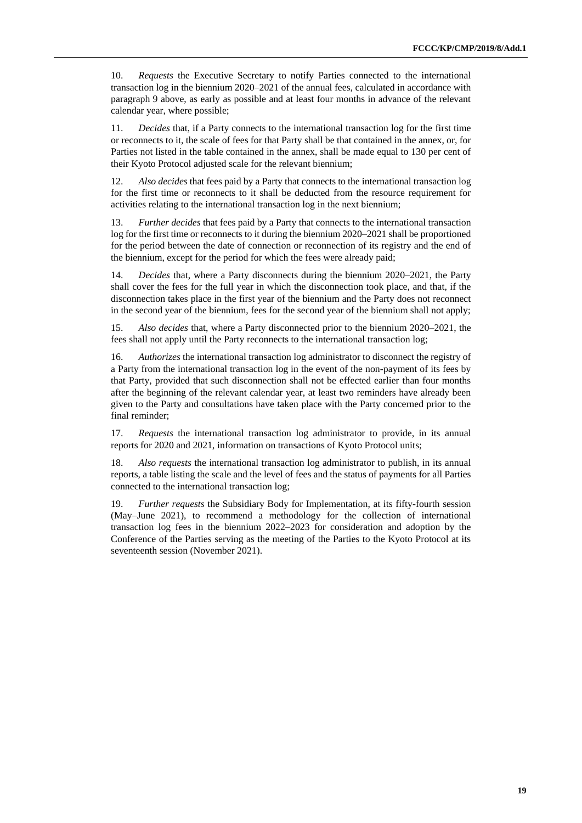10. *Requests* the Executive Secretary to notify Parties connected to the international transaction log in the biennium 2020–2021 of the annual fees, calculated in accordance with paragraph 9 above, as early as possible and at least four months in advance of the relevant calendar year, where possible;

11. *Decides* that, if a Party connects to the international transaction log for the first time or reconnects to it, the scale of fees for that Party shall be that contained in the annex, or, for Parties not listed in the table contained in the annex, shall be made equal to 130 per cent of their Kyoto Protocol adjusted scale for the relevant biennium;

12. *Also decides* that fees paid by a Party that connects to the international transaction log for the first time or reconnects to it shall be deducted from the resource requirement for activities relating to the international transaction log in the next biennium;

13. *Further decides* that fees paid by a Party that connects to the international transaction log for the first time or reconnects to it during the biennium 2020–2021 shall be proportioned for the period between the date of connection or reconnection of its registry and the end of the biennium, except for the period for which the fees were already paid;

14. *Decides* that, where a Party disconnects during the biennium 2020–2021, the Party shall cover the fees for the full year in which the disconnection took place, and that, if the disconnection takes place in the first year of the biennium and the Party does not reconnect in the second year of the biennium, fees for the second year of the biennium shall not apply;

15. *Also decides* that, where a Party disconnected prior to the biennium 2020–2021, the fees shall not apply until the Party reconnects to the international transaction log;

16. *Authorizes* the international transaction log administrator to disconnect the registry of a Party from the international transaction log in the event of the non-payment of its fees by that Party, provided that such disconnection shall not be effected earlier than four months after the beginning of the relevant calendar year, at least two reminders have already been given to the Party and consultations have taken place with the Party concerned prior to the final reminder;

17. *Requests* the international transaction log administrator to provide, in its annual reports for 2020 and 2021, information on transactions of Kyoto Protocol units;

18. *Also requests* the international transaction log administrator to publish, in its annual reports, a table listing the scale and the level of fees and the status of payments for all Parties connected to the international transaction log;

19. *Further requests* the Subsidiary Body for Implementation, at its fifty-fourth session (May–June 2021), to recommend a methodology for the collection of international transaction log fees in the biennium 2022–2023 for consideration and adoption by the Conference of the Parties serving as the meeting of the Parties to the Kyoto Protocol at its seventeenth session (November 2021).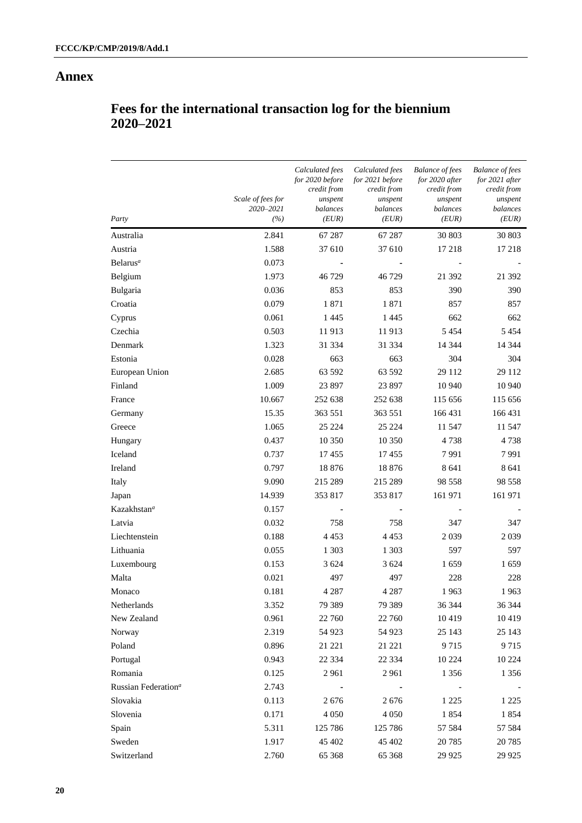#### **Annex**

| Party                           | Scale of fees for<br>2020-2021<br>(%) | Calculated fees<br>for 2020 before<br>credit from<br>unspent<br>balances<br>(EUR) | Calculated fees<br>for 2021 before<br>credit from<br>unspent<br>balances<br>(EUR) | <b>Balance of fees</b><br>for 2020 after<br>credit from<br>unspent<br>balances<br>(EUR) | <b>Balance of fees</b><br>for 2021 after<br>credit from<br>unspent<br>balances<br>(EUR) |
|---------------------------------|---------------------------------------|-----------------------------------------------------------------------------------|-----------------------------------------------------------------------------------|-----------------------------------------------------------------------------------------|-----------------------------------------------------------------------------------------|
| Australia                       | 2.841                                 | 67 287                                                                            | 67 287                                                                            | 30 803                                                                                  | 30 803                                                                                  |
| Austria                         | 1.588                                 | 37 610                                                                            | 37 610                                                                            | 17 218                                                                                  | 17 218                                                                                  |
| Belarus <sup>a</sup>            | 0.073                                 |                                                                                   |                                                                                   |                                                                                         |                                                                                         |
| Belgium                         | 1.973                                 | 46 729                                                                            | 46729                                                                             | 21 392                                                                                  | 21 392                                                                                  |
| Bulgaria                        | 0.036                                 | 853                                                                               | 853                                                                               | 390                                                                                     | 390                                                                                     |
| Croatia                         | 0.079                                 | 1871                                                                              | 1871                                                                              | 857                                                                                     | 857                                                                                     |
| Cyprus                          | 0.061                                 | 1 4 4 5                                                                           | 1445                                                                              | 662                                                                                     | 662                                                                                     |
| Czechia                         | 0.503                                 | 11913                                                                             | 11913                                                                             | 5 4 5 4                                                                                 | 5 4 5 4                                                                                 |
| Denmark                         | 1.323                                 | 31 334                                                                            | 31 334                                                                            | 14 344                                                                                  | 14 3 44                                                                                 |
| Estonia                         | 0.028                                 | 663                                                                               | 663                                                                               | 304                                                                                     | 304                                                                                     |
| European Union                  | 2.685                                 | 63 592                                                                            | 63 592                                                                            | 29 112                                                                                  | 29 112                                                                                  |
| Finland                         | 1.009                                 | 23 897                                                                            | 23 897                                                                            | 10 940                                                                                  | 10 940                                                                                  |
| France                          | 10.667                                | 252 638                                                                           | 252 638                                                                           | 115 656                                                                                 | 115 656                                                                                 |
| Germany                         | 15.35                                 | 363 551                                                                           | 363 551                                                                           | 166 431                                                                                 | 166 431                                                                                 |
| Greece                          | 1.065                                 | 25 224                                                                            | 25 224                                                                            | 11 547                                                                                  | 11 547                                                                                  |
| Hungary                         | 0.437                                 | 10 350                                                                            | 10 350                                                                            | 4738                                                                                    | 4738                                                                                    |
| Iceland                         | 0.737                                 | 17455                                                                             | 17455                                                                             | 7991                                                                                    | 7991                                                                                    |
| Ireland                         | 0.797                                 | 18876                                                                             | 18 876                                                                            | 8 6 4 1                                                                                 | 8 6 4 1                                                                                 |
| Italy                           | 9.090                                 | 215 289                                                                           | 215 289                                                                           | 98 558                                                                                  | 98 558                                                                                  |
| Japan                           | 14.939                                | 353817                                                                            | 353 817                                                                           | 161 971                                                                                 | 161 971                                                                                 |
| Kazakhstan <sup>a</sup>         | 0.157                                 |                                                                                   |                                                                                   |                                                                                         |                                                                                         |
| Latvia                          | 0.032                                 | 758                                                                               | 758                                                                               | 347                                                                                     | 347                                                                                     |
| Liechtenstein                   | 0.188                                 | 4 4 5 3                                                                           | 4 4 5 3                                                                           | 2 0 3 9                                                                                 | 2039                                                                                    |
| Lithuania                       | 0.055                                 | 1 3 0 3                                                                           | 1 3 0 3                                                                           | 597                                                                                     | 597                                                                                     |
| Luxembourg                      | 0.153                                 | 3 6 2 4                                                                           | 3 6 24                                                                            | 1659                                                                                    | 1659                                                                                    |
| Malta                           | 0.021                                 | 497                                                                               | 497                                                                               | 228                                                                                     | 228                                                                                     |
| Monaco                          | 0.181                                 | 4 2 8 7                                                                           | 4 2 8 7                                                                           | 1963                                                                                    | 1963                                                                                    |
| Netherlands                     | 3.352                                 | 79 389                                                                            | 79 389                                                                            | 36 344                                                                                  | 36 344                                                                                  |
| New Zealand                     | 0.961                                 | 22 760                                                                            | 22 760                                                                            | 10419                                                                                   | 10419                                                                                   |
| Norway                          | 2.319                                 | 54 923                                                                            | 54 923                                                                            | 25 143                                                                                  | 25 143                                                                                  |
| Poland                          | 0.896                                 | 21 221                                                                            | 21 221                                                                            | 9715                                                                                    | 9715                                                                                    |
| Portugal                        | 0.943                                 | 22 3 34                                                                           | 22 3 34                                                                           | 10 224                                                                                  | 10 224                                                                                  |
| Romania                         | 0.125                                 | 2961                                                                              | 2961                                                                              | 1 3 5 6                                                                                 | 1 3 5 6                                                                                 |
| Russian Federation <sup>a</sup> | 2.743                                 |                                                                                   |                                                                                   |                                                                                         |                                                                                         |
| Slovakia                        | 0.113                                 | 2676                                                                              | 2676                                                                              | 1 2 2 5                                                                                 | 1 2 2 5                                                                                 |
| Slovenia                        | 0.171                                 | 4 0 5 0                                                                           | 4 0 5 0                                                                           | 1854                                                                                    | 1854                                                                                    |
| Spain                           | 5.311                                 | 125 786                                                                           | 125 786                                                                           | 57 584                                                                                  | 57 584                                                                                  |
| Sweden                          | 1.917                                 | 45 402                                                                            | 45 402                                                                            | 20 785                                                                                  | 20 7 85                                                                                 |
| Switzerland                     | 2.760                                 | 65 368                                                                            | 65 368                                                                            | 29 9 25                                                                                 | 29 9 25                                                                                 |

# **Fees for the international transaction log for the biennium 2020–2021**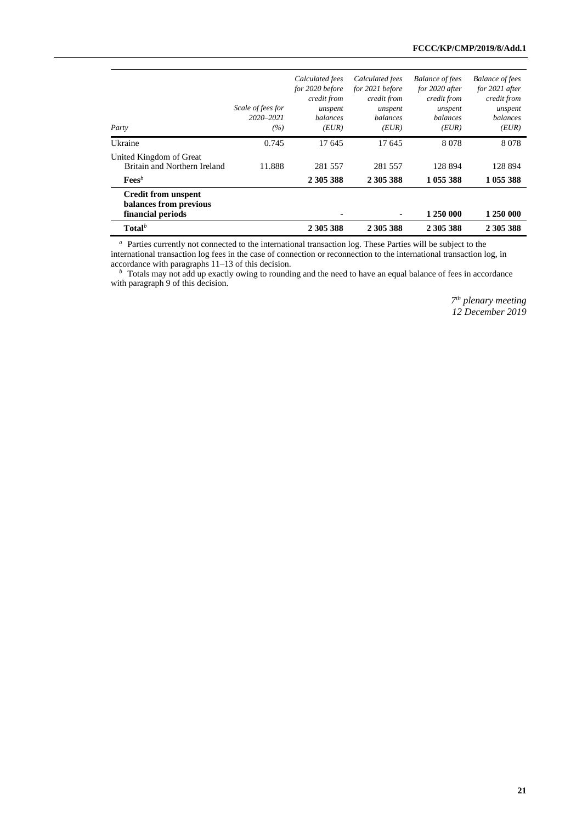| Party                                                                     | Scale of fees for<br>$2020 - 2021$<br>(%) | Calculated fees<br>for 2020 before<br>credit from<br>unspent<br><b>balances</b><br>(EUR) | Calculated fees<br>for 2021 before<br>credit from<br>unspent<br><i>balances</i><br>(EUR) | <b>Balance of fees</b><br>for 2020 after<br>credit from<br>unspent<br><b>balances</b><br>(EUR) | <b>Balance of fees</b><br>for 2021 after<br>credit from<br>unspent<br>balances<br>(EUR) |
|---------------------------------------------------------------------------|-------------------------------------------|------------------------------------------------------------------------------------------|------------------------------------------------------------------------------------------|------------------------------------------------------------------------------------------------|-----------------------------------------------------------------------------------------|
| Ukraine                                                                   | 0.745                                     | 17 645                                                                                   | 17 645                                                                                   | 8078                                                                                           | 8078                                                                                    |
| United Kingdom of Great<br>Britain and Northern Ireland                   | 11.888                                    | 281 557                                                                                  | 281 557                                                                                  | 128 894                                                                                        | 128 894                                                                                 |
| $\mathbf{Fees}^b$                                                         |                                           | 2 305 388                                                                                | 2 305 388                                                                                | 1 055 388                                                                                      | 1 055 388                                                                               |
| <b>Credit from unspent</b><br>balances from previous<br>financial periods |                                           |                                                                                          |                                                                                          | 1 250 000                                                                                      | 1 250 000                                                                               |
| $\textbf{Total}^b$                                                        |                                           | 2 305 388                                                                                | 2 305 388                                                                                | 2 305 388                                                                                      | 2 305 388                                                                               |

<sup>a</sup> Parties currently not connected to the international transaction log. These Parties will be subject to the

international transaction log fees in the case of connection or reconnection to the international transaction log, in accordance with paragraphs 11–13 of this decision.

*b* Totals may not add up exactly owing to rounding and the need to have an equal balance of fees in accordance with paragraph 9 of this decision.

> *7 th plenary meeting 12 December 2019*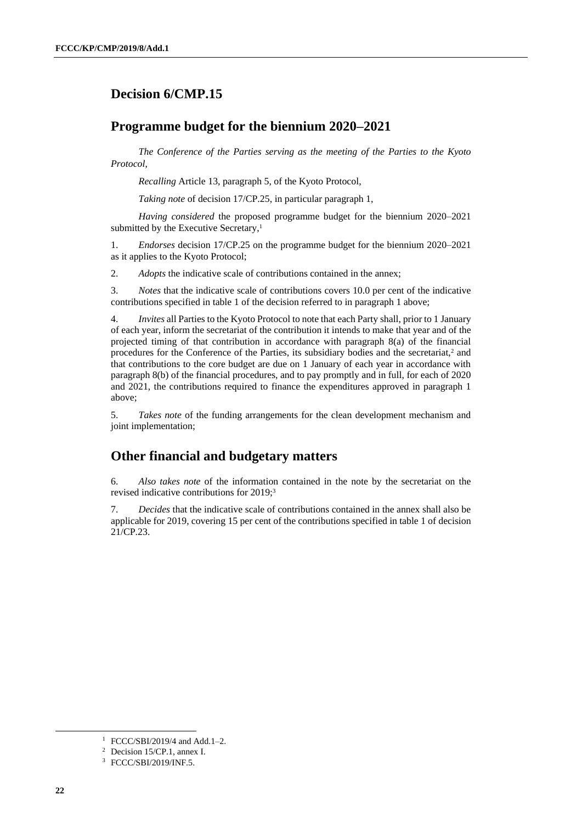# <span id="page-21-0"></span>**Decision 6/CMP.15**

# **Programme budget for the biennium 2020–2021**

*The Conference of the Parties serving as the meeting of the Parties to the Kyoto Protocol*,

*Recalling* Article 13, paragraph 5, of the Kyoto Protocol,

*Taking note* of decision 17/CP.25, in particular paragraph 1,

*Having considered* the proposed programme budget for the biennium 2020–2021 submitted by the Executive Secretary,<sup>1</sup>

1. *Endorses* decision 17/CP.25 on the programme budget for the biennium 2020–2021 as it applies to the Kyoto Protocol;

2. *Adopts* the indicative scale of contributions contained in the annex;

3. *Notes* that the indicative scale of contributions covers 10.0 per cent of the indicative contributions specified in table 1 of the decision referred to in paragraph 1 above;

4. *Invites* all Parties to the Kyoto Protocol to note that each Party shall, prior to 1 January of each year, inform the secretariat of the contribution it intends to make that year and of the projected timing of that contribution in accordance with paragraph 8(a) of the financial procedures for the Conference of the Parties, its subsidiary bodies and the secretariat,<sup>2</sup> and that contributions to the core budget are due on 1 January of each year in accordance with paragraph 8(b) of the financial procedures, and to pay promptly and in full, for each of 2020 and 2021, the contributions required to finance the expenditures approved in paragraph 1 above;

5. *Takes note* of the funding arrangements for the clean development mechanism and joint implementation;

# **Other financial and budgetary matters**

6. *Also takes note* of the information contained in the note by the secretariat on the revised indicative contributions for 2019;<sup>3</sup>

7. *Decides* that the indicative scale of contributions contained in the annex shall also be applicable for 2019, covering 15 per cent of the contributions specified in table 1 of decision 21/CP.23.

 $\overline{\phantom{a}}$ 

<sup>&</sup>lt;sup>1</sup> FCCC/SBI/2019/4 and Add.1-2.

<sup>2</sup> Decision 15/CP.1, annex I.

<sup>3</sup> FCCC/SBI/2019/INF.5.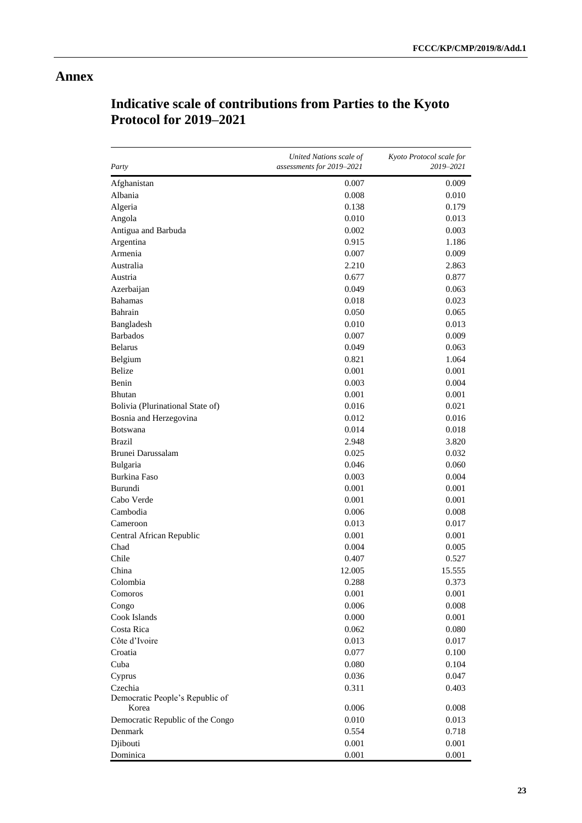# **Annex**

| Party                                    | United Nations scale of<br>assessments for 2019-2021 | Kyoto Protocol scale for<br>2019-2021 |
|------------------------------------------|------------------------------------------------------|---------------------------------------|
| Afghanistan                              | 0.007                                                | 0.009                                 |
| Albania                                  | 0.008                                                | 0.010                                 |
| Algeria                                  | 0.138                                                | 0.179                                 |
| Angola                                   | 0.010                                                | 0.013                                 |
| Antigua and Barbuda                      | 0.002                                                | 0.003                                 |
| Argentina                                | 0.915                                                | 1.186                                 |
| Armenia                                  | 0.007                                                | 0.009                                 |
| Australia                                | 2.210                                                | 2.863                                 |
| Austria                                  | 0.677                                                | 0.877                                 |
| Azerbaijan                               | 0.049                                                | 0.063                                 |
| <b>Bahamas</b>                           | 0.018                                                | 0.023                                 |
| Bahrain                                  | 0.050                                                | 0.065                                 |
| Bangladesh                               | 0.010                                                | 0.013                                 |
| <b>Barbados</b>                          | 0.007                                                | 0.009                                 |
| <b>Belarus</b>                           | 0.049                                                | 0.063                                 |
| Belgium                                  | 0.821                                                | 1.064                                 |
| <b>Belize</b>                            | 0.001                                                | 0.001                                 |
| Benin                                    | 0.003                                                | 0.004                                 |
| <b>Bhutan</b>                            | 0.001                                                | 0.001                                 |
| Bolivia (Plurinational State of)         | 0.016                                                | 0.021                                 |
| Bosnia and Herzegovina                   | 0.012                                                | 0.016                                 |
| <b>Botswana</b>                          | 0.014                                                | 0.018                                 |
| <b>Brazil</b>                            | 2.948                                                | 3.820                                 |
| Brunei Darussalam                        | 0.025                                                | 0.032                                 |
| Bulgaria                                 | 0.046                                                | 0.060                                 |
| Burkina Faso                             | 0.003                                                | 0.004                                 |
| Burundi                                  | 0.001                                                | 0.001                                 |
| Cabo Verde                               | 0.001                                                | 0.001                                 |
| Cambodia                                 | 0.006                                                | 0.008                                 |
| Cameroon                                 | 0.013                                                | 0.017                                 |
| Central African Republic                 | 0.001                                                | 0.001                                 |
| Chad                                     | 0.004                                                | 0.005                                 |
| Chile                                    | 0.407                                                | 0.527                                 |
| China                                    | 12.005                                               | 15.555                                |
| Colombia                                 | 0.288                                                | 0.373                                 |
| Comoros                                  | 0.001                                                | 0.001                                 |
| Congo                                    | 0.006                                                | 0.008                                 |
| Cook Islands                             | 0.000                                                | 0.001                                 |
| Costa Rica                               | 0.062                                                | 0.080                                 |
| Côte d'Ivoire                            | 0.013                                                | 0.017                                 |
| Croatia                                  | 0.077                                                | 0.100                                 |
| Cuba                                     | 0.080                                                | 0.104                                 |
| Cyprus                                   | 0.036                                                | 0.047                                 |
| Czechia                                  | 0.311                                                | 0.403                                 |
| Democratic People's Republic of<br>Korea | 0.006                                                | 0.008                                 |
| Democratic Republic of the Congo         | 0.010                                                | 0.013                                 |
| Denmark                                  | 0.554                                                | 0.718                                 |
| Djibouti                                 | 0.001                                                | 0.001                                 |
| Dominica                                 | 0.001                                                | 0.001                                 |

# **Indicative scale of contributions from Parties to the Kyoto Protocol for 2019–2021**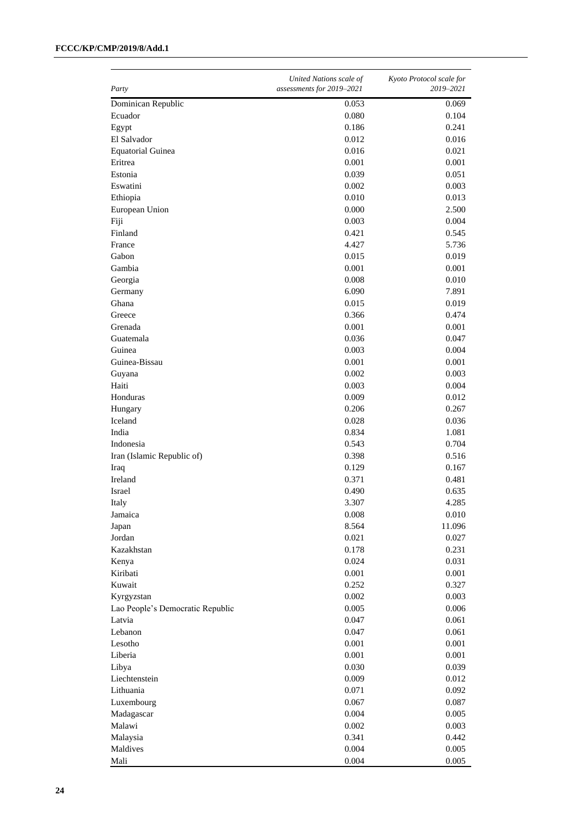#### **FCCC/KP/CMP/2019/8/Add.1**

| Party                            | United Nations scale of<br>assessments for 2019-2021 | Kyoto Protocol scale for<br>2019-2021 |
|----------------------------------|------------------------------------------------------|---------------------------------------|
| Dominican Republic               | 0.053                                                | 0.069                                 |
| Ecuador                          | 0.080                                                | 0.104                                 |
| Egypt                            | 0.186                                                | 0.241                                 |
| El Salvador                      | 0.012                                                | 0.016                                 |
| <b>Equatorial Guinea</b>         | 0.016                                                | 0.021                                 |
| Eritrea                          | 0.001                                                | 0.001                                 |
| Estonia                          | 0.039                                                | 0.051                                 |
| Eswatini                         | 0.002                                                | 0.003                                 |
| Ethiopia                         | 0.010                                                | 0.013                                 |
| European Union                   | 0.000                                                | 2.500                                 |
| Fiji                             | 0.003                                                | 0.004                                 |
| Finland                          | 0.421                                                | 0.545                                 |
| France                           | 4.427                                                | 5.736                                 |
| Gabon                            | 0.015                                                | 0.019                                 |
| Gambia                           | 0.001                                                | 0.001                                 |
| Georgia                          | 0.008                                                | 0.010                                 |
| Germany                          | 6.090                                                | 7.891                                 |
| Ghana                            | 0.015                                                | 0.019                                 |
| Greece                           | 0.366                                                | 0.474                                 |
| Grenada                          | 0.001                                                | 0.001                                 |
| Guatemala                        | 0.036                                                | 0.047                                 |
| Guinea                           | 0.003                                                | 0.004                                 |
| Guinea-Bissau                    | 0.001                                                | 0.001                                 |
| Guyana                           | 0.002                                                | 0.003                                 |
| Haiti                            | 0.003                                                | 0.004                                 |
| Honduras                         | 0.009                                                | 0.012                                 |
| Hungary                          | 0.206                                                | 0.267                                 |
| Iceland                          | 0.028                                                | 0.036                                 |
| India                            | 0.834                                                | 1.081                                 |
| Indonesia                        | 0.543                                                | 0.704                                 |
| Iran (Islamic Republic of)       | 0.398                                                | 0.516                                 |
| Iraq                             | 0.129                                                | 0.167                                 |
| Ireland                          | 0.371                                                | 0.481                                 |
| Israel                           | 0.490                                                | 0.635                                 |
| Italy                            | 3.307                                                | 4.285                                 |
| Jamaica                          | 0.008                                                | 0.010                                 |
| Japan                            | 8.564                                                | 11.096                                |
| Jordan                           | 0.021                                                | 0.027                                 |
| Kazakhstan                       | 0.178                                                | 0.231                                 |
| Kenya                            | 0.024                                                | 0.031                                 |
| Kiribati                         | 0.001                                                | 0.001                                 |
| Kuwait                           | 0.252                                                | 0.327                                 |
| Kyrgyzstan                       | 0.002                                                | 0.003                                 |
| Lao People's Democratic Republic | 0.005                                                | 0.006                                 |
| Latvia                           | 0.047                                                | 0.061                                 |
| Lebanon                          | 0.047                                                | 0.061                                 |
| Lesotho                          | 0.001                                                | 0.001                                 |
| Liberia                          | 0.001                                                | 0.001                                 |
| Libya                            | 0.030                                                | 0.039                                 |
| Liechtenstein                    | 0.009                                                | 0.012                                 |
| Lithuania                        | 0.071                                                | 0.092                                 |
| Luxembourg                       | 0.067                                                | 0.087                                 |
| Madagascar                       | 0.004                                                | 0.005                                 |
| Malawi                           | 0.002                                                | 0.003                                 |
| Malaysia                         | 0.341                                                | 0.442                                 |
| Maldives                         | 0.004                                                | 0.005                                 |
| Mali                             | 0.004                                                | 0.005                                 |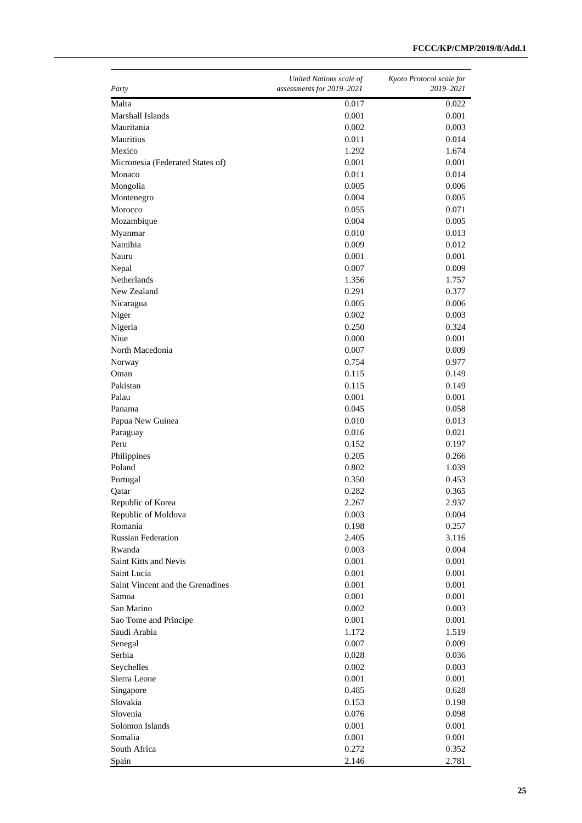| Party                            | United Nations scale of<br>assessments for 2019-2021 | Kyoto Protocol scale for<br>2019-2021 |
|----------------------------------|------------------------------------------------------|---------------------------------------|
| Malta                            | 0.017                                                | 0.022                                 |
| Marshall Islands                 | 0.001                                                | 0.001                                 |
| Mauritania                       | 0.002                                                | 0.003                                 |
| Mauritius                        | 0.011                                                | 0.014                                 |
| Mexico                           | 1.292                                                | 1.674                                 |
| Micronesia (Federated States of) | 0.001                                                | 0.001                                 |
| Monaco                           | 0.011                                                | 0.014                                 |
| Mongolia                         | 0.005                                                | 0.006                                 |
| Montenegro                       | 0.004                                                | 0.005                                 |
| Morocco                          | 0.055                                                | 0.071                                 |
| Mozambique                       | 0.004                                                | 0.005                                 |
| Myanmar                          | 0.010                                                | 0.013                                 |
| Namibia                          | 0.009                                                | 0.012                                 |
| Nauru                            | 0.001                                                | 0.001                                 |
| Nepal                            | 0.007                                                | 0.009                                 |
| <b>Netherlands</b>               | 1.356                                                | 1.757                                 |
| New Zealand                      | 0.291                                                | 0.377                                 |
| Nicaragua                        | 0.005                                                | 0.006                                 |
| Niger                            | 0.002                                                | 0.003                                 |
| Nigeria                          | 0.250                                                | 0.324                                 |
| Niue                             | 0.000                                                | 0.001                                 |
| North Macedonia                  | 0.007                                                | 0.009                                 |
| Norway                           | 0.754                                                | 0.977                                 |
| Oman                             | 0.115                                                | 0.149                                 |
| Pakistan                         | 0.115                                                | 0.149                                 |
| Palau                            | 0.001                                                | 0.001                                 |
| Panama                           | 0.045                                                | 0.058                                 |
| Papua New Guinea                 | 0.010                                                | 0.013                                 |
| Paraguay                         | 0.016                                                | 0.021                                 |
| Peru                             | 0.152                                                | 0.197                                 |
| Philippines                      | 0.205                                                | 0.266                                 |
| Poland                           | 0.802                                                | 1.039                                 |
| Portugal                         | 0.350                                                | 0.453                                 |
| Qatar                            | 0.282                                                | 0.365                                 |
| Republic of Korea                | 2.267                                                | 2.937                                 |
| Republic of Moldova              | 0.003                                                | 0.004                                 |
| Romania                          | 0.198                                                | 0.257                                 |
| <b>Russian Federation</b>        | 2.405                                                | 3.116                                 |
| Rwanda                           | 0.003                                                | 0.004                                 |
| Saint Kitts and Nevis            | 0.001                                                | 0.001                                 |
| Saint Lucia                      | 0.001                                                | 0.001                                 |
| Saint Vincent and the Grenadines | 0.001                                                | 0.001                                 |
| Samoa                            | 0.001                                                | 0.001                                 |
| San Marino                       | 0.002                                                | 0.003                                 |
| Sao Tome and Principe            | 0.001                                                | 0.001                                 |
| Saudi Arabia                     | 1.172                                                | 1.519                                 |
| Senegal<br>Serbia                | 0.007<br>$0.028\,$                                   | 0.009                                 |
|                                  |                                                      | 0.036                                 |
| Seychelles<br>Sierra Leone       | 0.002<br>0.001                                       | 0.003<br>0.001                        |
| Singapore                        | 0.485                                                | 0.628                                 |
| Slovakia                         | 0.153                                                | 0.198                                 |
| Slovenia                         | 0.076                                                | 0.098                                 |
| Solomon Islands                  | 0.001                                                | 0.001                                 |
| Somalia                          | 0.001                                                | 0.001                                 |
| South Africa                     | 0.272                                                | 0.352                                 |
| Spain                            | 2.146                                                | 2.781                                 |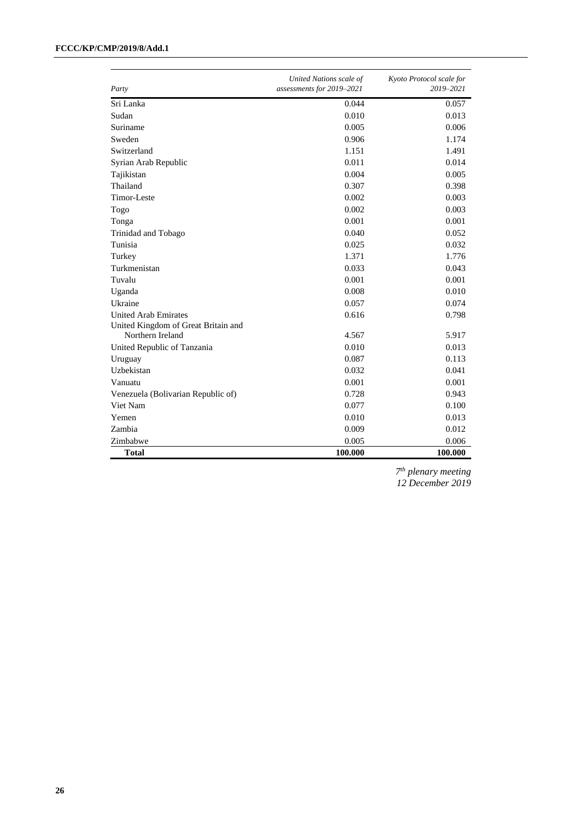#### **FCCC/KP/CMP/2019/8/Add.1**

| Party                               | United Nations scale of<br>assessments for 2019-2021 | Kyoto Protocol scale for<br>2019-2021 |
|-------------------------------------|------------------------------------------------------|---------------------------------------|
| Sri Lanka                           | 0.044                                                | 0.057                                 |
| Sudan                               | 0.010                                                | 0.013                                 |
| Suriname                            | 0.005                                                | 0.006                                 |
| Sweden                              | 0.906                                                | 1.174                                 |
| Switzerland                         | 1.151                                                | 1.491                                 |
| Syrian Arab Republic                | 0.011                                                | 0.014                                 |
| Tajikistan                          | 0.004                                                | 0.005                                 |
| Thailand                            | 0.307                                                | 0.398                                 |
| Timor-Leste                         | 0.002                                                | 0.003                                 |
| Togo                                | 0.002                                                | 0.003                                 |
| Tonga                               | 0.001                                                | 0.001                                 |
| Trinidad and Tobago                 | 0.040                                                | 0.052                                 |
| Tunisia                             | 0.025                                                | 0.032                                 |
| Turkey                              | 1.371                                                | 1.776                                 |
| Turkmenistan                        | 0.033                                                | 0.043                                 |
| Tuvalu                              | 0.001                                                | 0.001                                 |
| Uganda                              | 0.008                                                | 0.010                                 |
| Ukraine                             | 0.057                                                | 0.074                                 |
| <b>United Arab Emirates</b>         | 0.616                                                | 0.798                                 |
| United Kingdom of Great Britain and |                                                      |                                       |
| Northern Ireland                    | 4.567                                                | 5.917                                 |
| United Republic of Tanzania         | 0.010                                                | 0.013                                 |
| Uruguay                             | 0.087                                                | 0.113                                 |
| Uzbekistan                          | 0.032                                                | 0.041                                 |
| Vanuatu                             | 0.001                                                | 0.001                                 |
| Venezuela (Bolivarian Republic of)  | 0.728                                                | 0.943                                 |
| Viet Nam                            | 0.077                                                | 0.100                                 |
| Yemen                               | 0.010                                                | 0.013                                 |
| Zambia                              | 0.009                                                | 0.012                                 |
| Zimbabwe                            | 0.005                                                | 0.006                                 |
| <b>Total</b>                        | 100.000                                              | 100.000                               |

*7 th plenary meeting 12 December 2019*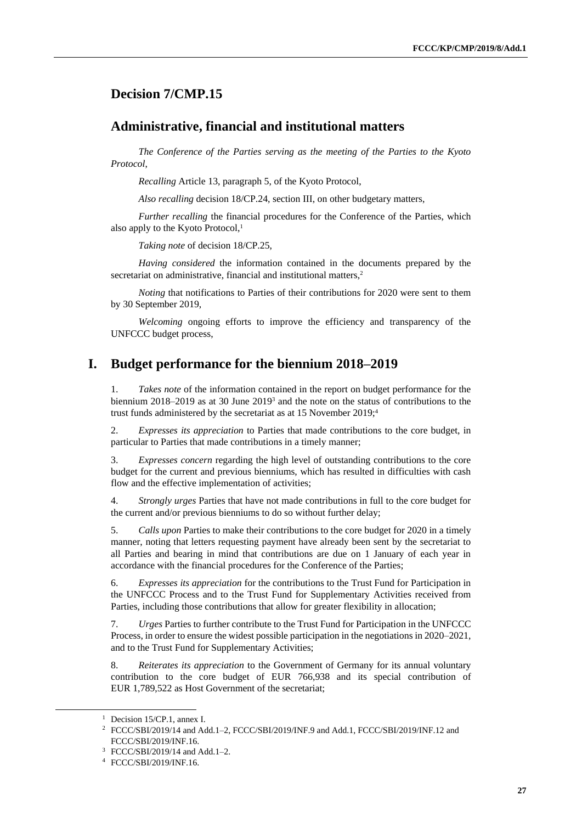### <span id="page-26-0"></span>**Decision 7/CMP.15**

#### **Administrative, financial and institutional matters**

*The Conference of the Parties serving as the meeting of the Parties to the Kyoto Protocol*,

*Recalling* Article 13, paragraph 5, of the Kyoto Protocol,

*Also recalling* decision 18/CP.24, section III, on other budgetary matters,

*Further recalling* the financial procedures for the Conference of the Parties, which also apply to the Kyoto Protocol,<sup>1</sup>

*Taking note* of decision 18/CP.25,

*Having considered* the information contained in the documents prepared by the secretariat on administrative, financial and institutional matters,<sup>2</sup>

*Noting* that notifications to Parties of their contributions for 2020 were sent to them by 30 September 2019,

*Welcoming* ongoing efforts to improve the efficiency and transparency of the UNFCCC budget process,

#### **I. Budget performance for the biennium 2018–2019**

Takes note of the information contained in the report on budget performance for the biennium 2018–2019 as at 30 June 2019<sup>3</sup> and the note on the status of contributions to the trust funds administered by the secretariat as at 15 November 2019;<sup>4</sup>

2. *Expresses its appreciation* to Parties that made contributions to the core budget, in particular to Parties that made contributions in a timely manner;

3. *Expresses concern* regarding the high level of outstanding contributions to the core budget for the current and previous bienniums, which has resulted in difficulties with cash flow and the effective implementation of activities;

4. *Strongly urges* Parties that have not made contributions in full to the core budget for the current and/or previous bienniums to do so without further delay;

5. *Calls upon* Parties to make their contributions to the core budget for 2020 in a timely manner, noting that letters requesting payment have already been sent by the secretariat to all Parties and bearing in mind that contributions are due on 1 January of each year in accordance with the financial procedures for the Conference of the Parties;

6. *Expresses its appreciation* for the contributions to the Trust Fund for Participation in the UNFCCC Process and to the Trust Fund for Supplementary Activities received from Parties, including those contributions that allow for greater flexibility in allocation;

7. *Urges* Parties to further contribute to the Trust Fund for Participation in the UNFCCC Process, in order to ensure the widest possible participation in the negotiations in 2020–2021, and to the Trust Fund for Supplementary Activities;

8. *Reiterates its appreciation* to the Government of Germany for its annual voluntary contribution to the core budget of EUR 766,938 and its special contribution of EUR 1,789,522 as Host Government of the secretariat;

 $\overline{\phantom{a}}$ 

<sup>&</sup>lt;sup>1</sup> Decision 15/CP.1, annex I.

<sup>2</sup> FCCC/SBI/2019/14 and Add.1–2, FCCC/SBI/2019/INF.9 and Add.1, FCCC/SBI/2019/INF.12 and FCCC/SBI/2019/INF.16.

<sup>3</sup> FCCC/SBI/2019/14 and Add.1–2.

<sup>4</sup> FCCC/SBI/2019/INF.16.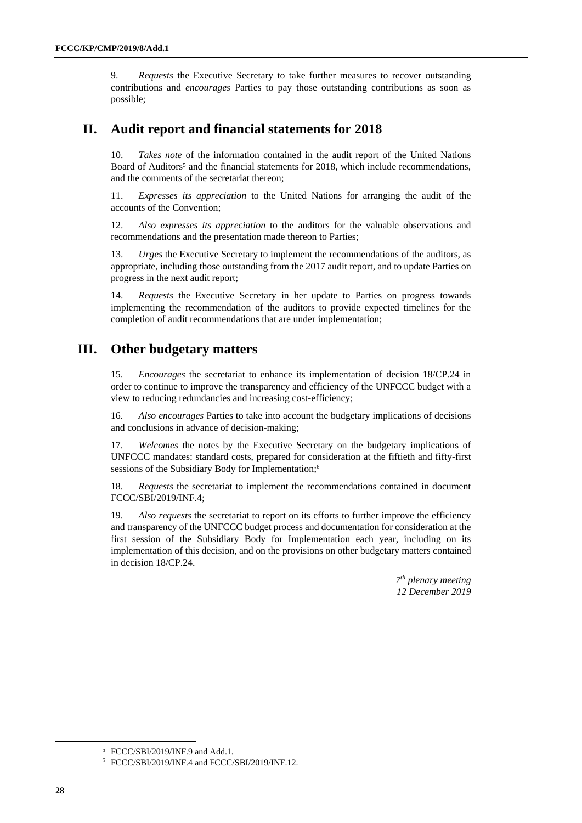9. *Requests* the Executive Secretary to take further measures to recover outstanding contributions and *encourages* Parties to pay those outstanding contributions as soon as possible;

# **II. Audit report and financial statements for 2018**

10. *Takes note* of the information contained in the audit report of the United Nations Board of Auditors<sup>5</sup> and the financial statements for 2018, which include recommendations, and the comments of the secretariat thereon;

11. *Expresses its appreciation* to the United Nations for arranging the audit of the accounts of the Convention;

12. *Also expresses its appreciation* to the auditors for the valuable observations and recommendations and the presentation made thereon to Parties;

13. *Urges* the Executive Secretary to implement the recommendations of the auditors, as appropriate, including those outstanding from the 2017 audit report, and to update Parties on progress in the next audit report;

14. *Requests* the Executive Secretary in her update to Parties on progress towards implementing the recommendation of the auditors to provide expected timelines for the completion of audit recommendations that are under implementation;

# **III. Other budgetary matters**

15. *Encourages* the secretariat to enhance its implementation of decision 18/CP.24 in order to continue to improve the transparency and efficiency of the UNFCCC budget with a view to reducing redundancies and increasing cost-efficiency;

16. *Also encourages* Parties to take into account the budgetary implications of decisions and conclusions in advance of decision-making;

17. *Welcomes* the notes by the Executive Secretary on the budgetary implications of UNFCCC mandates: standard costs, prepared for consideration at the fiftieth and fifty-first sessions of the Subsidiary Body for Implementation;6

18. *Requests* the secretariat to implement the recommendations contained in document FCCC/SBI/2019/INF.4;

19. *Also requests* the secretariat to report on its efforts to further improve the efficiency and transparency of the UNFCCC budget process and documentation for consideration at the first session of the Subsidiary Body for Implementation each year, including on its implementation of this decision, and on the provisions on other budgetary matters contained in decision 18/CP.24.

> *7 th plenary meeting 12 December 2019*

 $\overline{\phantom{a}}$ 

<sup>5</sup> FCCC/SBI/2019/INF.9 and Add.1.

<sup>6</sup> FCCC/SBI/2019/INF.4 and FCCC/SBI/2019/INF.12.